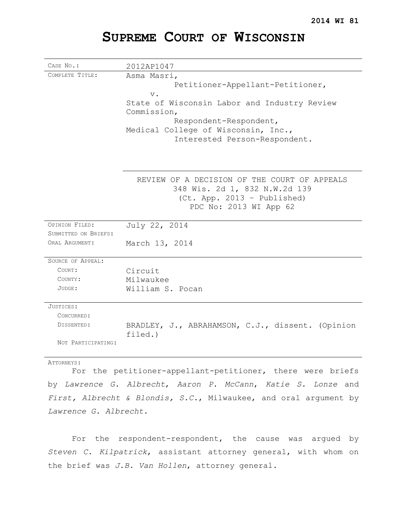# CASE No.: 2012AP1047 COMPLETE TITLE: Asma Masri, Petitioner-Appellant-Petitioner,  $V.$ State of Wisconsin Labor and Industry Review Commission, Respondent-Respondent, Medical College of Wisconsin, Inc., Interested Person-Respondent. REVIEW OF A DECISION OF THE COURT OF APPEALS 348 Wis. 2d 1, 832 N.W.2d 139 (Ct. App. 2013 - Published) PDC No: 2013 WI App 62 OPINION FILED: July 22, 2014 SUBMITTED ON BRIEFS: ORAL ARGUMENT: March 13, 2014 SOURCE OF APPEAL: COURT: Circuit COUNTY: Milwaukee JUDGE: William S. Pocan JUSTICES: CONCURRED: DISSENTED: BRADLEY, J., ABRAHAMSON, C.J., dissent. (Opinion filed.) NOT PARTICIPATING: ATTORNEYS:

SUPREME COURT OF WISCONSIN

For the petitioner-appellant-petitioner, there were briefs by! *Lawrence( G.( Albrecht*,! *Aaron( P.( McCann*,! *Katie( S.( Lonze* and! *First, Albrecht & Blondis, S.C.*, Milwaukee, and oral argument by Lawrence G. Albrecht.

For the respondent-respondent, the cause was argued by Steven C. Kilpatrick, assistant attorney general, with whom on the brief was *J.B. Van Hollen*, attorney general.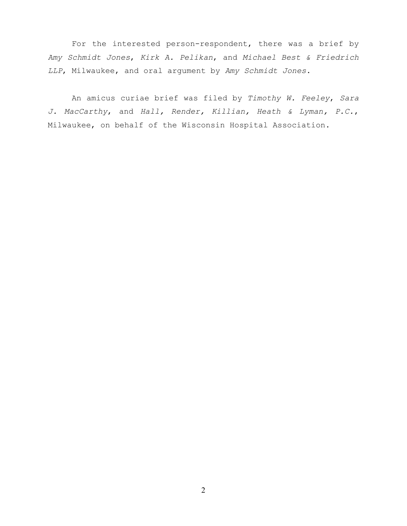For the interested person-respondent, there was a brief by *Amy(Schmidt(Jones*,!*Kirk(A.(Pelikan*,!and!*Michael(Best(&(Friedrich( LLP*,!Milwaukee,!and!oral!argument!by!*Amy(Schmidt(Jones*.

An amicus curiae brief was filed by *Timothy W. Feeley, Sara* J. MacCarthy, and *Hall, Render, Killian, Heath & Lyman, P.C.*, Milwaukee, on behalf of the Wisconsin Hospital Association.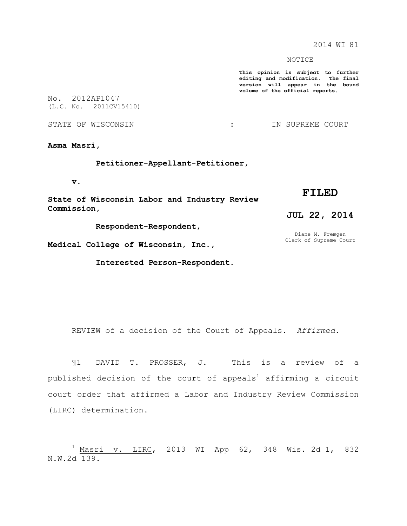2014 WI 81

NOTICE

This opinion is subject to further **editing% and% modification.% % The% final% version% will% appear% in% the% bound% volume of the official reports.** 

No. 2012AP1047 (L.C.!No. 2011CV15410)

STATE OF WISCONSIN  $\cdot$  : IN SUPREME COURT

**Asma%Masri,**

Petitioner-Appellant-Petitioner,

**%%%%%v.**

 $\overline{a}$ 

State of Wisconsin Labor and Industry Review **Commission,**

 ${\tt Respondent-Respondent},$ 

Medical College of Wisconsin, Inc.,

Interested Person-Respondent.

**FILED**

**JUL%22,%2014**

Diane M. Fremgen Clerk of Supreme Court

REVIEW of a decision of the Court of Appeals. Affirmed.

¶1 DAVID! T.! PROSSER,! J.!!! This! is! a! review! of! a! published decision of the court of appeals<sup>1</sup> affirming a circuit court order that affirmed a Labor and Industry Review Commission (LIRC) determination.

 $1$  Masri v. LIRC, 2013 WI App 62, 348 Wis. 2d 1, 832 N.W.2d 139.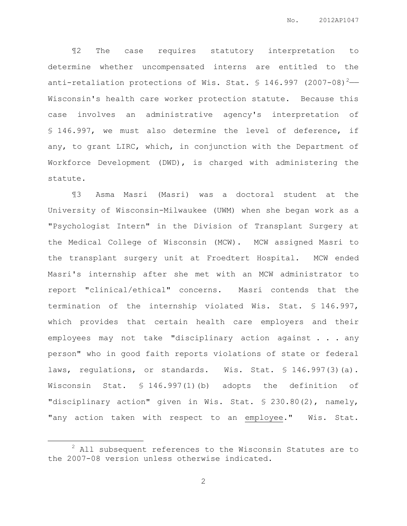¶2 The! case! requires! statutory! interpretation! to! determine whether uncompensated interns are entitled to the anti-retaliation protections of Wis. Stat. § 146.997 (2007-08) $^2$ --Wisconsin's health care worker protection statute. Because this case involves an administrative agency's interpretation of § 146.997, we must also determine the level of deference, if any, to grant LIRC, which, in conjunction with the Department of Workforce Development (DWD), is charged with administering the statute.

¶3 Asma! Masri! (Masri)! was! a! doctoral! student! at! the! University of Wisconsin-Milwaukee (UWM) when she began work as a "Psychologist Intern" in the Division of Transplant Surgery at the Medical College of Wisconsin (MCW). MCW assigned Masri to the transplant surgery unit at Froedtert Hospital. MCW ended Masri's internship after she met with an MCW administrator to report! "clinical/ethical"! concerns.! ! Masri! contends! that! the! termination of the internship violated Wis. Stat. § 146.997, which provides that certain health care employers and their employees may not take "disciplinary action against . . . any person" who in good faith reports violations of state or federal laws, regulations, or standards. Wis. Stat. § 146.997(3)(a). Wisconsin Stat.  $$ 146.997(1)$  (b) adopts the definition of "disciplinary action" given in Wis. Stat. § 230.80(2), namely, "any action taken with respect to an employee." Wis. Stat.

 $2$  All subsequent references to the Wisconsin Statutes are to the 2007-08 version unless otherwise indicated.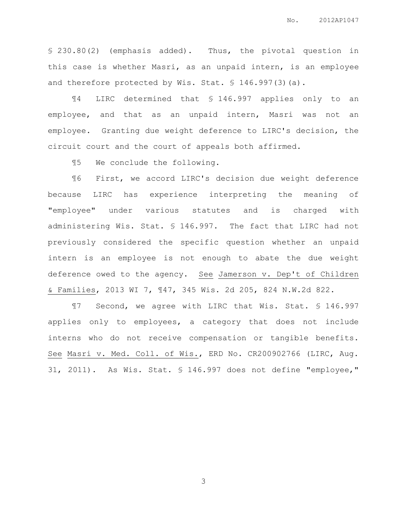§ 230.80(2) (emphasis added). Thus, the pivotal question in this case is whether Masri, as an unpaid intern, is an employee and therefore protected by Wis. Stat.  $$ 146.997(3)(a)$ .

¶4 LIRC! determined! that! § 146.997! applies! only! to! an! employee, and that as an unpaid intern, Masri was not an employee. Granting due weight deference to LIRC's decision, the circuit court and the court of appeals both affirmed.

¶5 We!conclude!the!following.

¶6 First,! we! accord! LIRC's! decision! due! weight! deference! because LIRC has experience interpreting the meaning of "employee" under various statutes and is charged with administering Wis. Stat. § 146.997. The fact that LIRC had not previously considered the specific question whether an unpaid intern is an employee is not enough to abate the due weight deference owed to the agency. See Jamerson v. Dep't of Children & Families, 2013 WI 7, 147, 345 Wis. 2d 205, 824 N.W.2d 822.

¶7 Second,! we! agree! with! LIRC! that! Wis.! Stat.! § 146.997! applies only to employees, a category that does not include interns who do not receive compensation or tangible benefits. See Masri v. Med. Coll. of Wis., ERD No. CR200902766 (LIRC, Aug. 31, 2011). As Wis. Stat. § 146.997 does not define "employee,"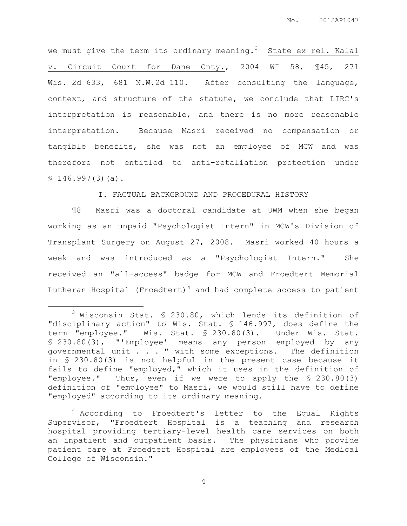we must give the term its ordinary meaning. $^3$  State ex rel. Kalal v. Circuit Court for Dane Cnty., 2004 WI 58, ¶45, 271 Wis. 2d 633, 681 N.W.2d 110. After consulting the language, context, and structure of the statute, we conclude that LIRC's interpretation is reasonable, and there is no more reasonable interpretation.! ! Because! Masri! received! no! compensation! or! tangible benefits, she was not an employee of MCW and was therefore not entitled to anti-retaliation protection under  $$146.997(3)(a).$ 

I. FACTUAL BACKGROUND AND PROCEDURAL HISTORY

¶8 Masri! was! a! doctoral! candidate! at! UWM! when! she! began! working as an unpaid "Psychologist Intern" in MCW's Division of Transplant Surgery on August 27, 2008. Masri worked 40 hours a week and was introduced as a "Psychologist Intern." She received an "all-access" badge for MCW and Froedtert Memorial Lutheran Hospital (Froedtert)<sup>4</sup> and had complete access to patient

 $\overline{a}$ 

 $3$  Wisconsin Stat. § 230.80, which lends its definition of "disciplinary action" to Wis. Stat. § 146.997, does define the term! "employee."! ! Wis.! Stat.! § 230.80(3).! ! Under! Wis.! Stat.! § 230.80(3), "'Employee' means any person employed by any governmental unit . . . " with some exceptions. The definition in  $$ 230.80(3)$  is not helpful in the present case because it fails to define "employed," which it uses in the definition of "employee." Thus, even if we were to apply the § 230.80(3) definition of "employee" to Masri, we would still have to define "employed" according to its ordinary meaning.

 $4$  According to Froedtert's letter to the Equal Rights Supervisor, "Froedtert Hospital is a teaching and research hospital providing tertiary-level health care services on both an inpatient and outpatient basis. The physicians who provide patient care at Froedtert Hospital are employees of the Medical College of Wisconsin."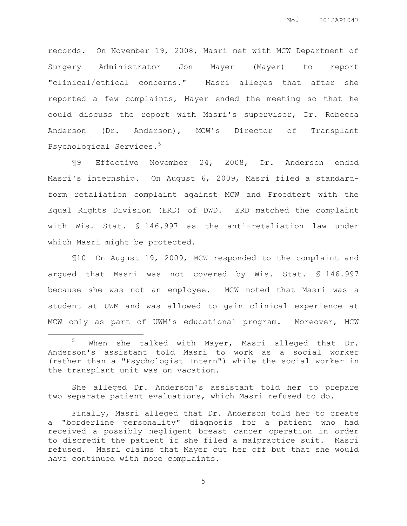records. On November 19, 2008, Masri met with MCW Department of Surgery Administrator Jon Mayer (Mayer) to report "clinical/ethical! concerns."! ! Masri! alleges! that! after! she! reported a few complaints, Mayer ended the meeting so that he could discuss the report with Masri's supervisor, Dr. Rebecca Anderson (Dr. Anderson), MCW's Director of Transplant Psychological Services.<sup>5</sup>

¶9 Effective! November! 24,! 2008,! Dr.! Anderson! ended! Masri's internship. On August 6, 2009, Masri filed a standardform retaliation complaint against MCW and Froedtert with the Equal Rights Division (ERD) of DWD. ERD matched the complaint with Wis. Stat. § 146.997 as the anti-retaliation law under which Masri might be protected.

 $fl10$  On August 19, 2009, MCW responded to the complaint and argued that Masri was not covered by Wis. Stat. § 146.997 because she was not an employee. MCW noted that Masri was a student at UWM and was allowed to gain clinical experience at MCW only as part of UWM's educational program. Moreover, MCW

 $\overline{a}$ 

She alleged Dr. Anderson's assistant told her to prepare two separate patient evaluations, which Masri refused to do.

Finally, Masri alleged that Dr. Anderson told her to create a "borderline personality" diagnosis for a patient who had received a possibly negligent breast cancer operation in order to discredit the patient if she filed a malpractice suit. Masri refused. Masri claims that Mayer cut her off but that she would have continued with more complaints.

 $5$  When she talked with Mayer, Masri alleged that Dr. Anderson's assistant told Masri to work as a social worker (rather than a "Psychologist Intern") while the social worker in the transplant unit was on vacation.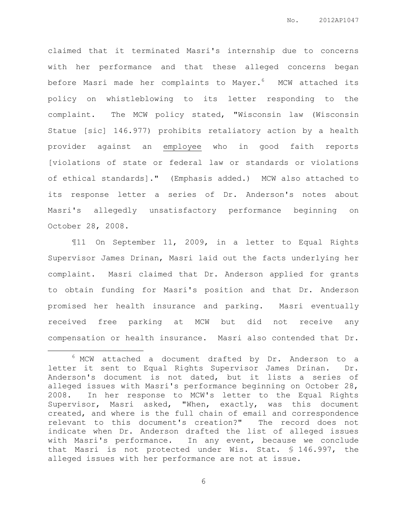claimed that it terminated Masri's internship due to concerns with her performance and that these alleged concerns began before Masri made her complaints to Mayer.<sup>6</sup> MCW attached its policy on whistleblowing to its letter responding to the complaint. The MCW policy stated, "Wisconsin law (Wisconsin Statue [sic] 146.977) prohibits retaliatory action by a health provider against an employee who in good faith reports [violations of state or federal law or standards or violations of ethical standards]." (Emphasis added.) MCW also attached to its response letter a series of Dr. Anderson's notes about Masri's allegedly unsatisfactory performance beginning on October 28, 2008.

¶11 On! September! 11,! 2009,! in! a! letter to Equal! Rights! Supervisor James Drinan, Masri laid out the facts underlying her complaint. Masri claimed that Dr. Anderson applied for grants to obtain funding for Masri's position and that Dr. Anderson promised her health insurance and parking. Masri eventually received free parking at MCW but did not receive any compensation or health insurance. Masri also contended that Dr.

 $\overline{a}$ 

 $6$  MCW attached a document drafted by Dr. Anderson to a letter it sent to Equal Rights Supervisor James Drinan. Dr. Anderson's document is not dated, but it lists a series of alleged issues with Masri's performance beginning on October 28, 2008. In her response to MCW's letter to the Equal Rights Supervisor, Masri asked, "When, exactly, was this document created, and where is the full chain of email and correspondence relevant! to! this! document's! creation?"! ! The! record! does! not! indicate when Dr. Anderson drafted the list of alleged issues with Masri's performance. In any event, because we conclude that Masri is not protected under Wis. Stat. § 146.997, the alleged issues with her performance are not at issue.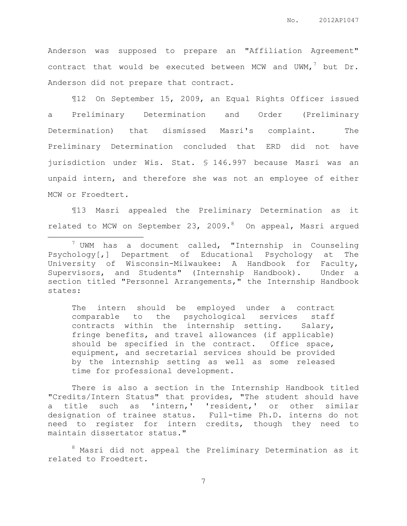Anderson was supposed to prepare an "Affiliation Agreement" contract that would be executed between MCW and UWM, $^7$  but Dr. Anderson did not prepare that contract.

¶12 On! September! 15,! 2009,! an! Equal! Rights! Officer! issued! a Preliminary Determination and Order (Preliminary Determination) that dismissed Masri's complaint. The Preliminary Determination concluded that ERD did not have jurisdiction under Wis. Stat. § 146.997 because Masri was an unpaid intern, and therefore she was not an employee of either MCW or Froedtert.

¶13 Masri! appealed! the! Preliminary! Determination! as! it! related to MCW on September 23, 2009.8 On appeal, Masri argued

 $\overline{a}$ 

The intern should be employed under a contract comparable to the psychological services staff contracts within the internship setting. Salary, fringe benefits, and travel allowances (if applicable) should be specified in the contract. Office space, equipment, and secretarial services should be provided by the internship setting as well as some released time for professional development.

There is also a section in the Internship Handbook titled "Credits/Intern Status" that provides, "The student should have a title such as 'intern,' 'resident,' or other similar designation of trainee status. Full-time Ph.D. interns do not need to register for intern credits, though they need to maintain dissertator status."

 $8$  Masri did not appeal the Preliminary Determination as it related to Froedtert.

 $7$  UWM has a document called, "Internship in Counseling Psychology[,] Department of Educational Psychology at The University of Wisconsin-Milwaukee: A Handbook for Faculty, Supervisors, and Students" (Internship Handbook). Under a section titled "Personnel Arrangements," the Internship Handbook states: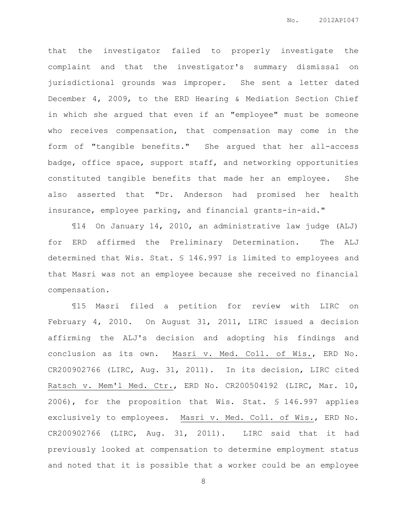that the investigator failed to properly investigate the complaint and that the investigator's summary dismissal on jurisdictional grounds was improper. She sent a letter dated December 4, 2009, to the ERD Hearing & Mediation Section Chief in which she argued that even if an "employee" must be someone who receives compensation, that compensation may come in the form! of! "tangible! benefits."! ! She! argued! that! her! all>access! badge, office space, support staff, and networking opportunities constituted tangible benefits that made her an employee. She also asserted that "Dr. Anderson had promised her health insurance, employee parking, and financial grants-in-aid."

¶14 On!January!14,!2010,!an administrative!law!judge!(ALJ) for ERD affirmed the Preliminary Determination. The ALJ determined that Wis. Stat. § 146.997 is limited to employees and that Masri was not an employee because she received no financial compensation.

¶15 Masri! filed! a! petition! for! review! with! LIRC! on! February 4, 2010. On August 31, 2011, LIRC issued a decision affirming the ALJ's decision and adopting his findings and conclusion as its own. Masri v. Med. Coll. of Wis., ERD No. CR200902766 (LIRC, Aug. 31, 2011). In its decision, LIRC cited Ratsch v. Mem'l Med. Ctr., ERD No. CR200504192 (LIRC, Mar. 10, 2006), for the proposition that Wis. Stat. § 146.997 applies exclusively to employees. Masri v. Med. Coll. of Wis., ERD No. CR200902766! (LIRC,! Aug.! 31,! 2011).! ! LIRC! said that! it had previously looked at compensation to determine employment status and noted that it is possible that a worker could be an employee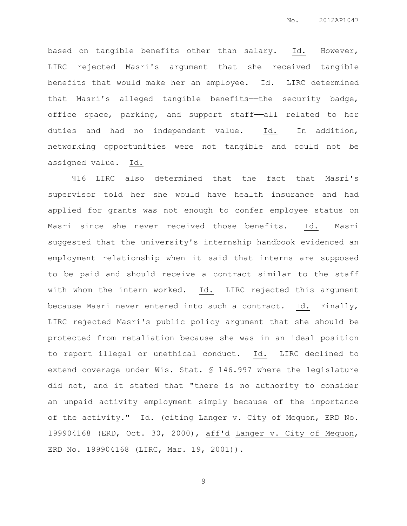based on tangible benefits other than salary. Id. However, LIRC rejected Masri's argument that she received tangible benefits that would make her an employee. Id. LIRC determined that Masri's alleged tangible benefits-the security badge, office space, parking, and support staff-all related to her duties and had no independent value. Id. In addition, networking opportunities were not tangible and could not be assigned value. Id.

¶16 LIRC! also! determined! that! the! fact! that! Masri's! supervisor told her she would have health insurance and had applied for grants was not enough to confer employee status on Masri since she never received those benefits. Id. Masri suggested that the university's internship handbook evidenced an employment relationship when it said that interns are supposed to be paid and should receive a contract similar to the staff with whom the intern worked. Id. LIRC rejected this argument because Masri never entered into such a contract. Id. Finally, LIRC rejected Masri's public policy argument that she should be protected from retaliation because she was in an ideal position to report illegal or unethical conduct. Id. LIRC declined to extend coverage under Wis. Stat. § 146.997 where the legislature did not, and it stated that "there is no authority to consider an unpaid activity employment simply because of the importance of the activity." Id. (citing Langer v. City of Mequon, ERD No. 199904168 (ERD, Oct. 30, 2000), aff'd Langer v. City of Mequon, ERD No. 199904168 (LIRC, Mar. 19, 2001)).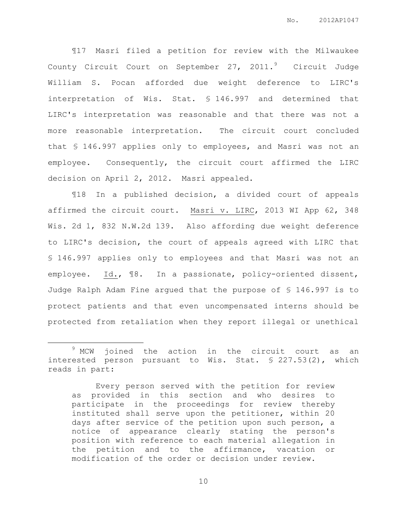¶17 Masri! filed! a! petition! for! review! with! the! Milwaukee! County Circuit Court on September 27, 2011. $^9$  - Circuit Judge William S. Pocan afforded due weight deference to LIRC's interpretation of Wis. Stat. § 146.997 and determined that LIRC's interpretation was reasonable and that there was not a more reasonable interpretation. The circuit court concluded that § 146.997 applies only to employees, and Masri was not an employee.! ! Consequently,! the! circuit! court! affirmed! the! LIRC! decision on April 2, 2012. Masri appealed.

¶18 In! a! published! decision,! a! divided court! of! appeals! affirmed the circuit court. Masri v. LIRC, 2013 WI App 62, 348 Wis. 2d 1, 832 N.W.2d 139. Also affording due weight deference to LIRC's decision, the court of appeals agreed with LIRC that § 146.997 applies only to employees and that Masri was not an employee. Id., 18. In a passionate, policy-oriented dissent, Judge Ralph Adam Fine argued that the purpose of § 146.997 is to protect patients and that even uncompensated interns should be protected from retaliation when they report illegal or unethical

 $9$  MCW joined the action in the circuit court as an interested person pursuant to Wis. Stat.  $\S$  227.53(2), which reads in part:

Every person served with the petition for review as provided in this section and who desires to participate in the proceedings for review thereby instituted shall serve upon the petitioner, within 20 days after service of the petition upon such person, a notice of appearance clearly stating the person's position with reference to each material allegation in the petition and to the affirmance, vacation or modification of the order or decision under review.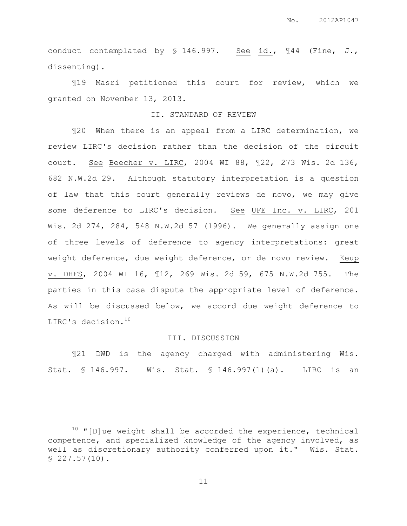conduct contemplated by  $$ 146.997.$  See id.,  $$44$  (Fine, J., dissenting).

¶19 Masri! petitioned! this! court! for! review,! which! we! granted on November 13, 2013.

## II. STANDARD OF REVIEW

T20 When there is an appeal from a LIRC determination, we review LIRC's decision rather than the decision of the circuit court. See Beecher v. LIRC, 2004 WI 88, 122, 273 Wis. 2d 136, 682 N.W.2d 29. Although statutory interpretation is a question of law that this court generally reviews de novo, we may give some deference to LIRC's decision. See UFE Inc. v. LIRC, 201 Wis. 2d 274, 284, 548 N.W.2d 57 (1996). We generally assign one of three levels of deference to agency interpretations: great weight deference, due weight deference, or de novo review. Keup v. DHFS, 2004 WI 16, 112, 269 Wis. 2d 59, 675 N.W.2d 755. The parties in this case dispute the appropriate level of deference. As will be discussed below, we accord due weight deference to LIRC's decision.<sup>10</sup>

#### III. DISCUSSION

 $\P$ 21 DWD is the agency charged with administering Wis. Stat. § 146.997. Wis. Stat. § 146.997(1)(a). LIRC is an

 $\overline{a}$ 

 $10$  "[D]ue weight shall be accorded the experience, technical competence, and specialized knowledge of the agency involved, as well as discretionary authority conferred upon it." Wis. Stat.  $$227.57(10).$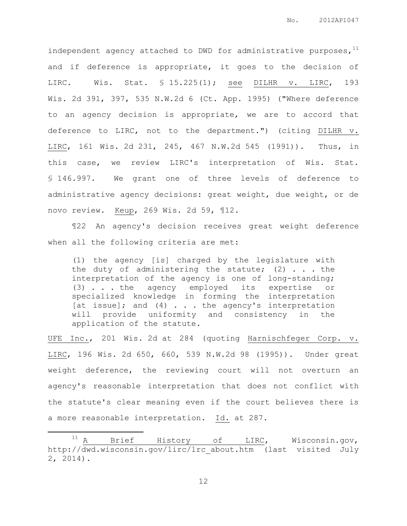independent agency attached to DWD for administrative purposes, <sup>11</sup> and if deference is appropriate, it goes to the decision of Wis. Stat.  $\$ 15.225(1);$  see DILHR v. LIRC, LIRC. 193 Wis. 2d 391, 397, 535 N.W.2d 6 (Ct. App. 1995) ("Where deference to an agency decision is appropriate, we are to accord that deference to LIRC, not to the department.") (citing DILHR v. LIRC, 161 Wis. 2d 231, 245, 467 N.W.2d 545 (1991)). Thus, in this case, we review LIRC's interpretation of Wis. Stat. § 146.997. We grant one of three levels of deference to administrative agency decisions: great weight, due weight, or de novo review. Keup, 269 Wis. 2d 59, 112.

122 An agency's decision receives great weight deference when all the following criteria are met:

(1) the agency [is] charged by the legislature with the duty of administering the statute;  $(2)$  ... the interpretation of the agency is one of long-standing;  $(3)$  . . . the agency employed its expertise or specialized knowledge in forming the interpretation [at issue]; and  $(4)$  . . . the agency's interpretation will provide uniformity and consistency in the application of the statute.

UFE Inc., 201 Wis. 2d at 284 (quoting Harnischfeger Corp. v. LIRC, 196 Wis. 2d 650, 660, 539 N.W.2d 98 (1995)). Under great weight deference, the reviewing court will not overturn an agency's reasonable interpretation that does not conflict with the statute's clear meaning even if the court believes there is a more reasonable interpretation. Id. at 287.

 $11$ Brief History of LIRC, Wisconsin.gov,  $\lambda$ http://dwd.wisconsin.gov/lirc/lrc about.htm (last visited July  $2, 2014$ .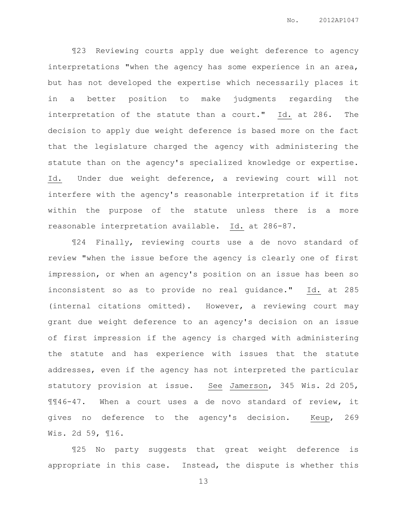¶23 Reviewing! courts! apply! due! weight! deference! to! agency! interpretations "when the agency has some experience in an area, but has not developed the expertise which necessarily places it in a better position to make judgments regarding the interpretation of the statute than a court." Id. at 286. The decision to apply due weight deference is based more on the fact that the legislature charged the agency with administering the statute than on the agency's specialized knowledge or expertise. Id. Under due weight deference, a reviewing court will not interfere with the agency's reasonable interpretation if it fits within the purpose of the statute unless there is a more reasonable interpretation available. Id. at 286-87.

¶24 Finally,! reviewing! courts! use! a! de! novo! standard! of! review "when the issue before the agency is clearly one of first impression, or when an agency's position on an issue has been so inconsistent so as to provide no real quidance." Id. at 285 (internal citations omitted). However, a reviewing court may grant due weight deference to an agency's decision on an issue of first impression if the agency is charged with administering the statute and has experience with issues that the statute addresses, even if the agency has not interpreted the particular statutory provision at issue. See Jamerson, 345 Wis. 2d 205, ¶¶46>47.! ! When! a! court! uses! a! de! novo! standard! of! review,! it! gives no deference to the agency's decision. Keup, 269 Wis. 2d 59, 116.

¶25 No! party! suggests! that! great! weight! deference! is! appropriate in this case. Instead, the dispute is whether this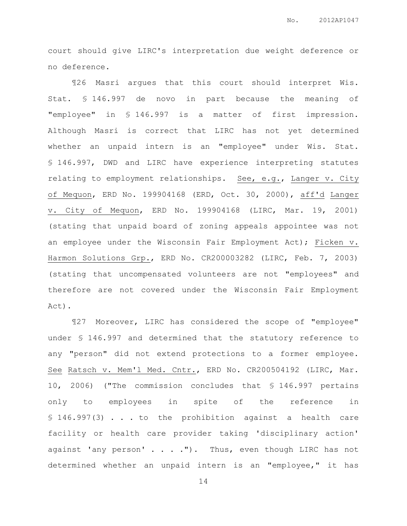court should give LIRC's interpretation due weight deference or no deference.

¶26 Masri! argues! that! this! court! should! interpret! Wis.! Stat. § 146.997 de novo in part because the meaning of "employee" in § 146.997 is a matter of first impression. Although Masri is correct that LIRC has not yet determined whether an unpaid intern is an "employee" under Wis. Stat. § 146.997, DWD and LIRC have experience interpreting statutes relating to employment relationships. See, e.g., Langer v. City of Mequon, ERD No. 199904168 (ERD, Oct. 30, 2000), aff'd Langer v. City of Mequon, ERD No. 199904168 (LIRC, Mar. 19, 2001) (stating that unpaid board of zoning appeals appointee was not an employee under the Wisconsin Fair Employment Act); Ficken v. Harmon Solutions Grp., ERD No. CR200003282 (LIRC, Feb. 7, 2003) (stating that uncompensated volunteers are not "employees" and therefore are not covered under the Wisconsin Fair Employment Act).

 $\P$ 27 Moreover, LIRC has considered the scope of "employee" under \$ 146.997 and determined that the statutory reference to any "person" did not extend protections to a former employee. See Ratsch v. Mem'l Med. Cntr., ERD No. CR200504192 (LIRC, Mar. 10, 2006) ("The commission concludes that § 146.997 pertains only to employees in spite of the reference in  $$146.997(3)$  . . to the prohibition against a health care facility or health care provider taking 'disciplinary action' against 'any person'  $\ldots$  . ."). Thus, even though LIRC has not determined whether an unpaid intern is an "employee," it has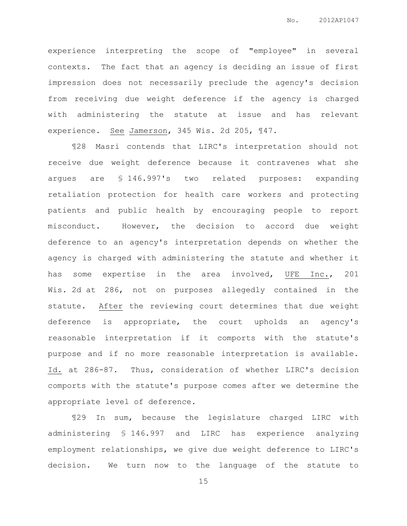experience interpreting the scope of "employee" in several contexts. The fact that an agency is deciding an issue of first impression does not necessarily preclude the agency's decision from receiving due weight deference if the agency is charged with administering the statute at issue and has relevant experience. See Jamerson, 345 Wis. 2d 205, 147.

¶28 Masri contends that LIRC's interpretation should not receive due weight deference because it contravenes what she arques are § 146.997's two related purposes: expanding retaliation protection for health care workers and protecting patients and public health by encouraging people to report misconduct. However, the decision to accord due weight deference to an agency's interpretation depends on whether the agency is charged with administering the statute and whether it has some expertise in the area involved, UFE Inc., 201 Wis. 2d at 286, not on purposes allegedly contained in the statute. After the reviewing court determines that due weight deference is appropriate, the court upholds an agency's reasonable interpretation if it comports with the statute's purpose and if no more reasonable interpretation is available. Id. at 286-87. Thus, consideration of whether LIRC's decision comports with the statute's purpose comes after we determine the appropriate level of deference.

129 In sum, because the legislature charged LIRC with administering § 146.997 and LIRC has experience analyzing employment relationships, we give due weight deference to LIRC's decision. We turn now to the language of the statute to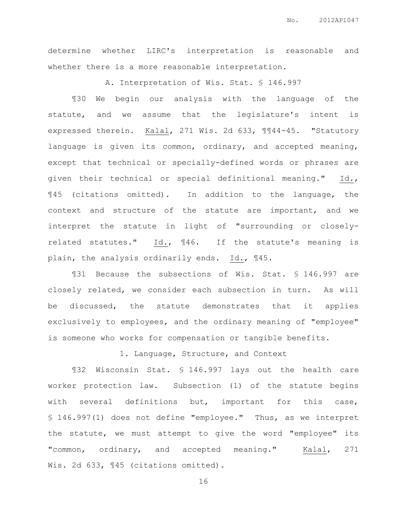determine whether LIRC's interpretation is reasonable and whether there is a more reasonable interpretation.

A. Interpretation of Wis. Stat. § 146.997

¶30 We! begin! our! analysis! with! the! language! of! the! statute, and we assume that the legislature's intent is expressed therein. Kalal, 271 Wis. 2d 633, 1144-45. "Statutory language is given its common, ordinary, and accepted meaning, except that technical or specially-defined words or phrases are given their technical or special definitional meaning." Id., ¶45! (citations! omitted).! ! In! addition! to! the! language,! the! context and structure of the statute are important, and we interpret the statute in light of "surrounding or closelyrelated statutes." Id., 146. If the statute's meaning is plain, the analysis ordinarily ends. Id., 145.

¶31 Because! the! subsections! of! Wis.! Stat.! § 146.997! are! closely related, we consider each subsection in turn. As will be discussed, the statute demonstrates that it applies exclusively to employees, and the ordinary meaning of "employee" is someone who works for compensation or tangible benefits.

# 1. Language, Structure, and Context

¶32 Wisconsin! Stat.! § 146.997! lays! out! the! health! care! worker protection law. Subsection (1) of the statute begins with several definitions but, important for this case, § 146.997(1) does not define "employee." Thus, as we interpret the statute, we must attempt to give the word "employee" its "common,! ordinary,! and! accepted! meaning."! ! Kalal,! 271! Wis. 2d 633, ¶45 (citations omitted).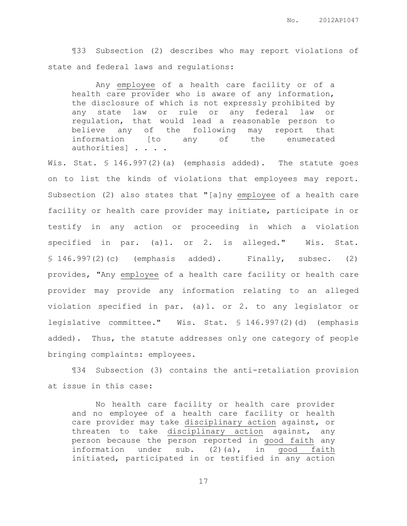¶33 Subsection! (2)! describes! who! may! report violations! of! state and federal laws and regulations:

Any employee of a health care facility or of a health care provider who is aware of any information, the disclosure of which is not expressly prohibited by any state law or rule or any federal law or regulation, that would lead a reasonable person to believe any of the following may report that information [to any of the enumerated authorities] . . . .

Wis. Stat.  $\frac{146.997(2)}{a}$  (emphasis added). The statute goes on to list the kinds of violations that employees may report. Subsection (2) also states that "[a]ny employee of a health care facility or health care provider may initiate, participate in or testify in any action or proceeding in which a violation specified! in! par.! (a)1.! or! 2.! is! alleged."! ! Wis.! Stat.!  $$146.997(2) (c)$  (emphasis added). Finally, subsec. (2) provides, "Any employee of a health care facility or health care provider may provide any information relating to an alleged violation specified in par. (a)1. or 2. to any legislator or legislative committee." Wis. Stat. § 146.997(2)(d) (emphasis added). Thus, the statute addresses only one category of people bringing complaints: employees.

¶34 Subsection!(3)!contains!the!anti>retaliation!provision! at issue in this case:

No health care facility or health care provider and no employee of a health care facility or health care provider may take disciplinary action against, or threaten to take disciplinary action against, any person because the person reported in good faith any information under sub.  $(2)$ (a), in good faith initiated, participated in or testified in any action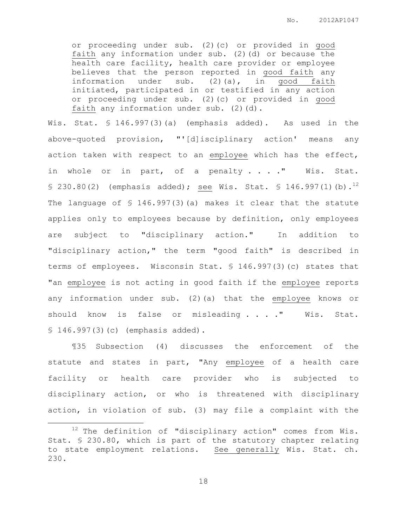or proceeding under sub. (2)(c) or provided in good faith any information under sub. (2)(d) or because the health care facility, health care provider or employee believes that the person reported in good faith any information under sub.  $(2)$  (a), in good faith initiated, participated in or testified in any action or proceeding under sub. (2)(c) or provided in good faith any information under sub.  $(2)$  (d).

Wis. Stat.  $\$$  146.997(3)(a) (emphasis added). As used in the above-quoted provision, "'[d]isciplinary action' means any action taken with respect to an employee which has the effect, in whole or in part, of a penalty  $\ldots$  ." Wis. Stat. § 230.80(2) (emphasis added); see Wis. Stat. § 146.997(1)(b).<sup>12</sup> The language of  $§$  146.997(3)(a) makes it clear that the statute applies only to employees because by definition, only employees are subject to "disciplinary action." In addition to "disciplinary action," the term "good faith" is described in terms of employees. Wisconsin Stat. § 146.997(3)(c) states that "an employee is not acting in good faith if the employee reports any information under sub. (2)(a) that the employee knows or should know is false or misleading . . . . " Wis. Stat. § 146.997(3)(c) (emphasis added).

¶35 Subsection! (4)! discusses! the! enforcement! of! the! statute and states in part, "Any employee of a health care facility or health care provider who is subjected to disciplinary action, or who is threatened with disciplinary action, in violation of sub. (3) may file a complaint with the

 $\overline{a}$ 

 $12$  The definition of "disciplinary action" comes from Wis. Stat. § 230.80, which is part of the statutory chapter relating to state employment relations. See generally Wis. Stat. ch. 230.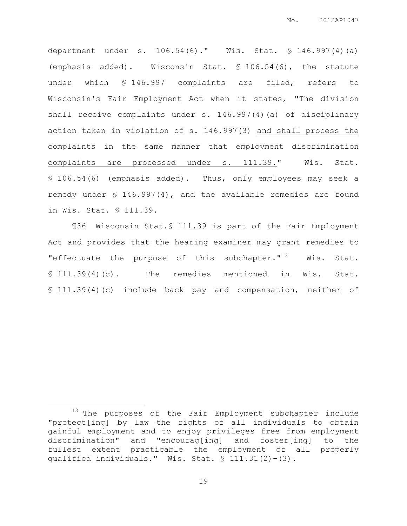department under s. 106.54(6)." Wis. Stat. § 146.997(4)(a) (emphasis added). Wisconsin Stat.  $$ 106.54(6)$ , the statute under which § 146.997 complaints are filed, refers to Wisconsin's Fair Employment Act when it states, "The division shall receive complaints under s. 146.997(4)(a) of disciplinary action taken in violation of s. 146.997(3) and shall process the complaints in the same manner that employment discrimination complaints are processed under s. 111.39." Wis. Stat.  $$106.54(6)$  (emphasis added). Thus, only employees may seek a remedy under  $\frac{146.997(4)}{1000}$ , and the available remedies are found in Wis. Stat. § 111.39.

¶36 Wisconsin!Stat.§ 111.39 is!part!of!the!Fair!Employment! Act and provides that the hearing examiner may grant remedies to "effectuate the purpose of this subchapter." $^{13}$  Wis. Stat.  $$111.39(4)(c).$  The remedies mentioned in Wis. Stat. § 111.39(4)(c) include back pay and compensation, neither of

 $13$  The purposes of the Fair Employment subchapter include "protect[ing] by law the rights of all individuals to obtain gainful employment and to enjoy privileges free from employment discrimination" and "encourag[ing] and foster[ing] to the fullest extent practicable the employment of all properly qualified individuals." Wis. Stat.  $$ 111.31(2)-(3)$ .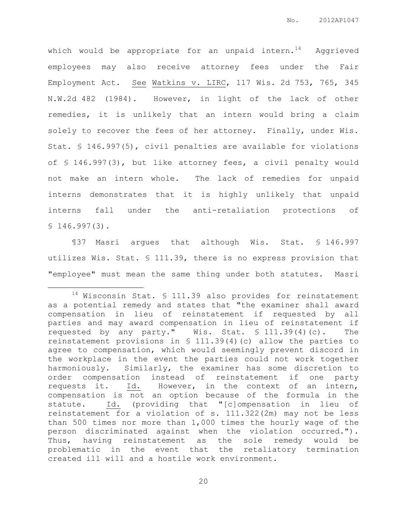which would be appropriate for an unpaid intern.<sup>14</sup> Aggrieved employees may also receive attorney fees under the Fair Employment Act. See Watkins v. LIRC, 117 Wis. 2d 753, 765, 345 N.W.2d 482 (1984). However, in light of the lack of other remedies, it is unlikely that an intern would bring a claim solely to recover the fees of her attorney. Finally, under Wis. Stat. § 146.997(5), civil penalties are available for violations of  $$ 146.997(3)$ , but like attorney fees, a civil penalty would not make an intern whole. The lack of remedies for unpaid interns demonstrates that it is highly unlikely that unpaid interns fall under the anti-retaliation protections of § 146.997(3).

¶37 Masri! argues! that! although! Wis.! Stat.! § 146.997! utilizes Wis. Stat. § 111.39, there is no express provision that "employee" must mean the same thing under both statutes. Masri

 $14$  Wisconsin Stat. § 111.39 also provides for reinstatement as a potential remedy and states that "the examiner shall award compensation in lieu of reinstatement if requested by all parties and may award compensation in lieu of reinstatement if requested by any party." Wis. Stat.  $\$$  111.39(4)(c). The reinstatement provisions in  $\frac{111.39(4)}{c}$  allow the parties to agree to compensation, which would seemingly prevent discord in the workplace in the event the parties could not work together harmoniously. Similarly, the examiner has some discretion to order compensation instead of reinstatement if one party requests it. Id. However, in the context of an intern, compensation is not an option because of the formula in the statute. Id. (providing that "[c]ompensation in lieu of reinstatement for a violation of s. 111.322(2m) may not be less than 500 times nor more than  $1,000$  times the hourly wage of the person discriminated against when the violation occurred."). Thus, having reinstatement as the sole remedy would be problematic in the event that the retaliatory termination created ill will and a hostile work environment.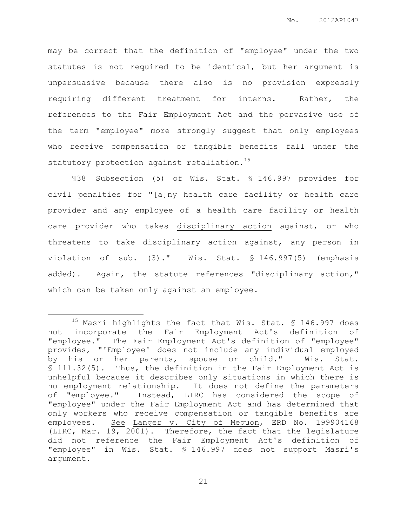may be correct that the definition of "employee" under the two statutes is not required to be identical, but her argument is unpersuasive because there also is no provision expressly requiring different treatment for interns. Rather, the references to the Fair Employment Act and the pervasive use of the term "employee" more strongly suggest that only employees who receive compensation or tangible benefits fall under the statutory protection against retaliation.<sup>15</sup>

¶38 Subsection! (5)! of! Wis.! Stat.! § 146.997! provides! for! civil penalties for "[a]ny health care facility or health care provider and any employee of a health care facility or health care provider who takes disciplinary action against, or who threatens to take disciplinary action against, any person in violation of sub.  $(3)$ ." Wis. Stat. § 146.997(5) (emphasis added).! ! Again,! the! statute! references! "disciplinary! action,"! which can be taken only against an employee.

 $15$  Masri highlights the fact that Wis. Stat. § 146.997 does not incorporate the Fair Employment Act's definition of "employee." The Fair Employment Act's definition of "employee" provides, "'Employee' does not include any individual employed by his or her parents, spouse or child." Wis. Stat. § 111.32(5). Thus, the definition in the Fair Employment Act is unhelpful because it describes only situations in which there is no employment relationship. It does not define the parameters of "employee." Instead, LIRC has considered the scope of "employee" under the Fair Employment Act and has determined that only workers who receive compensation or tangible benefits are employees. See Langer v. City of Mequon, ERD No. 199904168 (LIRC, Mar. 19, 2001). Therefore, the fact that the legislature did not reference the Fair Employment Act's definition of "employee" in Wis. Stat. § 146.997 does not support Masri's argument.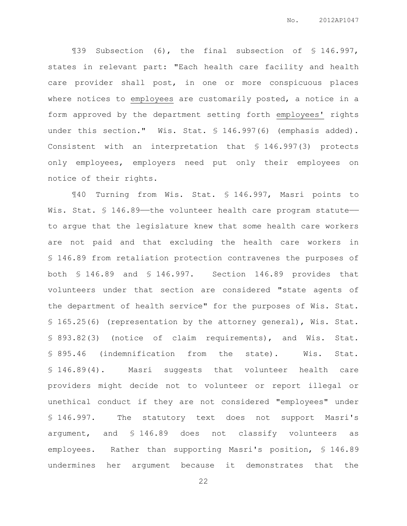¶39 Subsection! (6),! the! final! subsection! of! § 146.997,! states in relevant part: "Each health care facility and health care provider shall post, in one or more conspicuous places where notices to employees are customarily posted, a notice in a form approved by the department setting forth employees' rights under this section." Wis. Stat. § 146.997(6) (emphasis added). Consistent with an interpretation that  $$ 146.997(3)$  protects only employees, employers need put only their employees on notice of their rights.

¶40 Turning! from! Wis.! Stat.! § 146.997,! Masri! points! to! Wis. Stat. § 146.89—the volunteer health care program statute to argue that the legislature knew that some health care workers are not paid and that excluding the health care workers in § 146.89 from retaliation protection contravenes the purposes of both  $$ 146.89$  and  $$ 146.997$ . Section  $146.89$  provides that volunteers under that section are considered "state agents of the department of health service" for the purposes of Wis. Stat.  $$165.25(6)$  (representation by the attorney general), Wis. Stat. § 893.82(3) (notice of claim requirements), and Wis. Stat. § 895.46 (indemnification from the state). Wis. Stat. § 146.89(4).! ! Masri! suggests! that! volunteer! health! care! providers might decide not to volunteer or report illegal or unethical conduct if they are not considered "employees" under § 146.997. Ihe statutory text does not support Masri's argument, and § 146.89 does not classify volunteers as employees. Rather than supporting Masri's position, § 146.89 undermines her argument because it demonstrates that the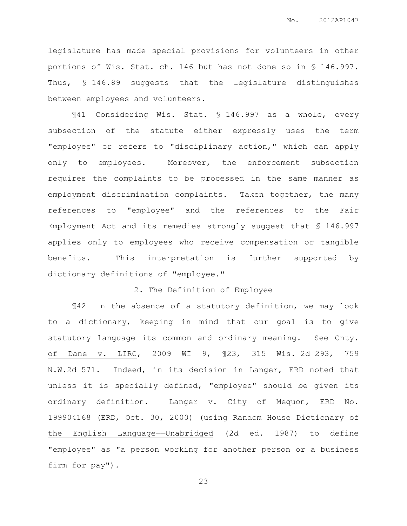legislature has made special provisions for volunteers in other portions of Wis. Stat. ch. 146 but has not done so in § 146.997. Thus,  $$ 146.89$  suggests that the legislature distinguishes between employees and volunteers.

¶41 Considering! Wis.! Stat.! § 146.997! as! a! whole,! every! subsection of the statute either expressly uses the term "employee" or refers to "disciplinary action," which can apply only to employees. Moreover, the enforcement subsection requires the complaints to be processed in the same manner as employment discrimination complaints. Taken together, the many references to "employee" and the references to the Fair Employment Act and its remedies strongly suggest that § 146.997 applies only to employees who receive compensation or tangible benefits. This interpretation is further supported by dictionary definitions of "employee."

# 2. The Definition of Employee

 $\text{I42}$  In the absence of a statutory definition, we may look to a dictionary, keeping in mind that our goal is to give statutory language its common and ordinary meaning. See Cnty. of Dane v. LIRC, 2009 WI 9, 123, 315 Wis. 2d 293, 759 N.W.2d 571. Indeed, in its decision in Langer, ERD noted that unless it is specially defined, "employee" should be given its ordinary! definition.! ! Langer! v.! City! of! Mequon,! ERD! No.! 199904168 (ERD, Oct. 30, 2000) (using Random House Dictionary of the English Language-Unabridged (2d ed. 1987) to define "employee" as "a person working for another person or a business firm for pay").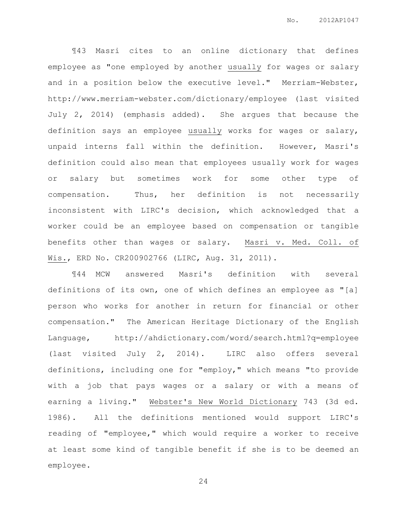¶43 Masri! cites! to! an! online dictionary! that! defines! employee as "one employed by another usually for wages or salary and in a position below the executive level." Merriam-Webster, http://www.merriam-webster.com/dictionary/employee (last visited July 2, 2014) (emphasis added). She argues that because the definition says an employee usually works for wages or salary, unpaid interns fall within the definition. However, Masri's definition could also mean that employees usually work for wages or salary but sometimes work for some other type of compensation.! ! Thus,! her! definition! is! not! necessarily! inconsistent with LIRC's decision, which acknowledged that a worker could be an employee based on compensation or tangible benefits other than wages or salary. Masri v. Med. Coll. of Wis., ERD No. CR200902766 (LIRC, Aug. 31, 2011).

¶44 MCW answered! Masri's! definition! with! several! definitions of its own, one of which defines an employee as "[a] person who works for another in return for financial or other compensation." The American Heritage Dictionary of the English Language, http://ahdictionary.com/word/search.html?q=employee (last! visited! July 2,! 2014).! ! LIRC! also! offers! several! definitions, including one for "employ," which means "to provide with a job that pays wages or a salary or with a means of earning a living." Webster's New World Dictionary 743 (3d ed. 1986). All the definitions mentioned would support LIRC's reading of "employee," which would require a worker to receive at least some kind of tangible benefit if she is to be deemed an employee.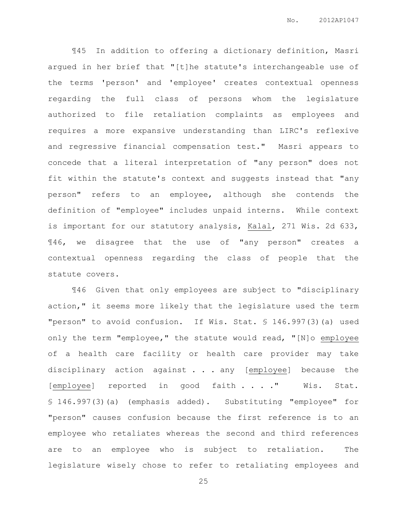$145$  In addition to offering a dictionary definition, Masri argued in her brief that "[t]he statute's interchangeable use of the terms 'person' and 'employee' creates contextual openness regarding the full class of persons whom the legislature authorized to file retaliation complaints as employees and requires a more expansive understanding than LIRC's reflexive and regressive financial compensation test." Masri appears to concede that a literal interpretation of "any person" does not fit within the statute's context and suggests instead that "any person" refers to an employee, although she contends the definition of "employee" includes unpaid interns. While context is important for our statutory analysis, Kalal, 271 Wis. 2d 633, ¶46, we! disagree! that the! use! of! "any! person"! creates! a! contextual openness regarding the class of people that the statute covers.

 $$46$  Given that only employees are subject to "disciplinary action," it seems more likely that the legislature used the term "person" to avoid confusion. If Wis. Stat. § 146.997(3)(a) used only the term "employee," the statute would read, "[N]o employee of a health care facility or health care provider may take disciplinary action against . . . any [employee] because the [employee] reported in good faith . . . " Wis. Stat. § 146.997(3)(a) (emphasis added). Substituting "employee" for "person" causes confusion because the first reference is to an employee who retaliates whereas the second and third references are to an employee who is subject to retaliation. The legislature wisely chose to refer to retaliating employees and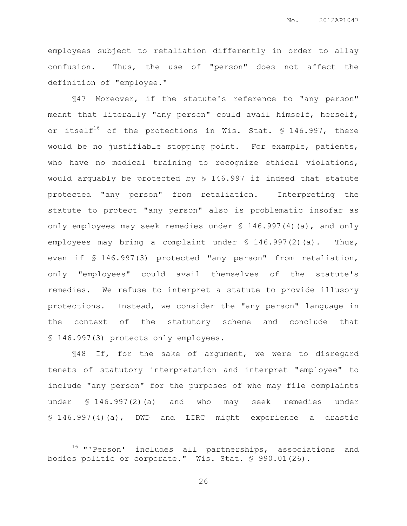employees subject to retaliation differently in order to allay confusion.! ! Thus,! the! use! of! "person"! does! not! affect! the! definition of "employee."

 $\P$ 47 Moreover, if the statute's reference to "any person" meant that literally "any person" could avail himself, herself, or itself<sup>16</sup> of the protections in Wis. Stat. § 146.997, there would be no justifiable stopping point. For example, patients, who have no medical training to recognize ethical violations, would arguably be protected by  $$146.997$  if indeed that statute protected "any person" from retaliation. Interpreting the statute to protect "any person" also is problematic insofar as only employees may seek remedies under § 146.997(4)(a), and only employees may bring a complaint under  $\leq 146.997(2)$  (a). Thus, even if \$ 146.997(3) protected "any person" from retaliation, only "employees" could avail themselves of the statute's remedies. We refuse to interpret a statute to provide illusory protections. Instead, we consider the "any person" language in the context of the statutory scheme and conclude that § 146.997(3) protects only employees.

 $\texttt{148}$  If, for the sake of argument, we were to disregard tenets of statutory interpretation and interpret "employee" to include "any person" for the purposes of who may file complaints under  $\leq 146.997(2)(a)$  and who may seek remedies under  $$146.997(4)(a)$ , DWD and LIRC might experience a drastic

 $16$  "'Person' includes all partnerships, associations and bodies politic or corporate." Wis. Stat. § 990.01(26).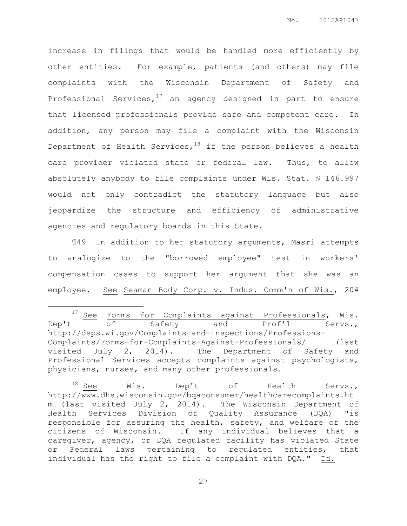increase in filings that would be handled more efficiently by other entities. For example, patients (and others) may file complaints with the Wisconsin Department of Safety and Professional Services, $17$  an agency designed in part to ensure that licensed professionals provide safe and competent care. In addition, any person may file a complaint with the Wisconsin Department of Health Services,  $18$  if the person believes a health care provider violated state or federal law. Thus, to allow absolutely anybody to file complaints under Wis. Stat. § 146.997 would not only contradict the statutory language but also jeopardize the structure and efficiency of administrative agencies and regulatory boards in this State.

¶49 In!addition!to!her!statutory!arguments,!Masri!attempts! to analogize to the "borrowed employee" test in workers' compensation cases to support her argument that she was an employee. See Seaman Body Corp. v. Indus. Comm'n of Wis., 204

 $\overline{a}$ 

 $18 \text{ See}$  Wis. Dep't of Health Servs., http://www.dhs.wisconsin.gov/bqaconsumer/healthcarecomplaints.ht m (last visited July 2, 2014). The Wisconsin Department of Health Services Division of Quality Assurance (DQA) "is responsible for assuring the health, safety, and welfare of the citizens of Wisconsin. If any individual believes that a caregiver, agency, or DQA regulated facility has violated State or Federal laws pertaining to regulated entities, that individual has the right to file a complaint with DQA." Id.

 $17$  See Forms for Complaints against Professionals, Wis. Dep't of Safety and Prof'l Servs., http://dsps.wi.qov/Complaints-and-Inspections/Professions-Complaints/Forms>for>Complaints>Against>Professionals/ (last! visited July 2, 2014). The Department of Safety and Professional Services accepts complaints against psychologists, physicians, nurses, and many other professionals.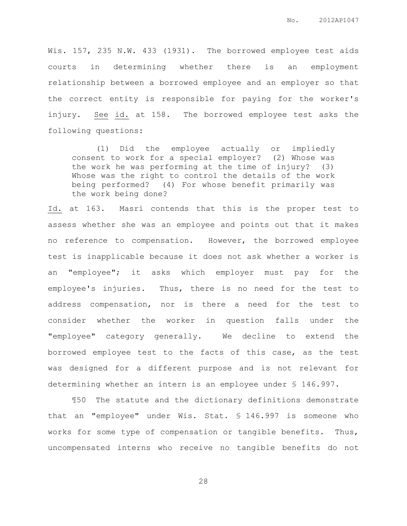Wis. 157, 235 N.W. 433 (1931). The borrowed employee test aids courts in determining whether there is an employment relationship between a borrowed employee and an employer so that the correct entity is responsible for paying for the worker's injury. See id. at 158. The borrowed employee test asks the following questions:

(1) Did the employee actually or impliedly consent to work for a special employer? (2) Whose was the work he was performing at the time of injury?  $(3)$ Whose was the right to control the details of the work being performed? (4) For whose benefit primarily was the work being done?

Id. at 163. Masri contends that this is the proper test to assess whether she was an employee and points out that it makes no reference to compensation. However, the borrowed employee test is inapplicable because it does not ask whether a worker is an "employee"; it asks which employer must pay for the employee's injuries. Thus, there is no need for the test to address compensation, nor is there a need for the test to consider whether the worker in question falls under the "employee" category generally. We decline to extend the borrowed employee test to the facts of this case, as the test was designed for a different purpose and is not relevant for determining whether an intern is an employee under § 146.997.

¶50 The!statute!and!the!dictionary!definitions!demonstrate! that an "employee" under Wis. Stat. § 146.997 is someone who works for some type of compensation or tangible benefits. Thus, uncompensated interns who receive no tangible benefits do not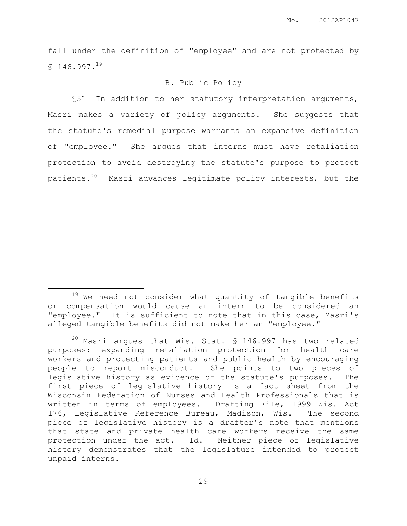fall under the definition of "employee" and are not protected by  $$146.997.<sup>19</sup>$ 

## B. Public Policy

**151** In addition to her statutory interpretation arguments, Masri makes a variety of policy arguments. She suggests that the statute's remedial purpose warrants an expansive definition of! "employee."! ! She! argues! that! interns! must! have! retaliation! protection to avoid destroying the statute's purpose to protect patients.<sup>20</sup> Masri advances legitimate policy interests, but the

 $19$  We need not consider what quantity of tangible benefits or compensation would cause an intern to be considered an "employee." It is sufficient to note that in this case, Masri's alleged tangible benefits did not make her an "employee."

 $20$  Masri argues that Wis. Stat. § 146.997 has two related purposes: expanding retaliation protection for health care workers and protecting patients and public health by encouraging people to report misconduct. She points to two pieces of legislative history as evidence of the statute's purposes. The first piece of legislative history is a fact sheet from the Wisconsin Federation of Nurses and Health Professionals that is written in terms of employees. Drafting File, 1999 Wis. Act 176, Legislative Reference Bureau, Madison, Wis. The second piece of legislative history is a drafter's note that mentions that state and private health care workers receive the same protection under the act. Id. Neither piece of legislative history demonstrates that the legislature intended to protect unpaid interns.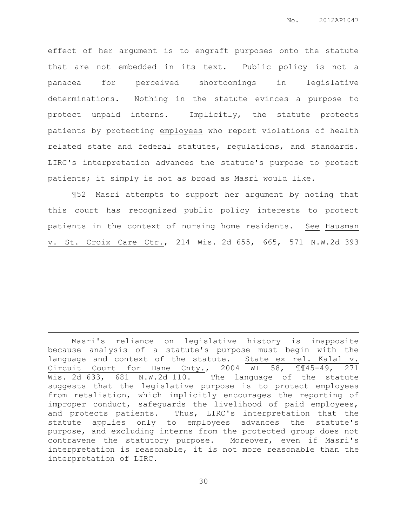effect of her argument is to engraft purposes onto the statute that are not embedded in its text. Public policy is not a for perceived shortcomings in legislative panacea determinations. Nothing in the statute evinces a purpose to protect unpaid interns. Implicitly, the statute protects patients by protecting employees who report violations of health related state and federal statutes, requiations, and standards. LIRC's interpretation advances the statute's purpose to protect patients; it simply is not as broad as Masri would like.

152 Masri attempts to support her argument by noting that this court has recognized public policy interests to protect patients in the context of nursing home residents. See Hausman v. St. Croix Care Ctr., 214 Wis. 2d 655, 665, 571 N.W.2d 393

Masri's reliance on legislative history is inapposite because analysis of a statute's purpose must begin with the language and context of the statute. State ex rel. Kalal v. Circuit Court for Dane Cnty., 2004 WI 58, 9945-49, 271 Wis. 2d 633, 681 N.W.2d 110. The language of the statute suggests that the legislative purpose is to protect employees from retaliation, which implicitly encourages the reporting of improper conduct, safequards the livelihood of paid employees, and protects patients. Thus, LIRC's interpretation that the statute applies only to employees advances the statute's purpose, and excluding interns from the protected group does not contravene the statutory purpose. Moreover, even if Masri's interpretation is reasonable, it is not more reasonable than the interpretation of LIRC.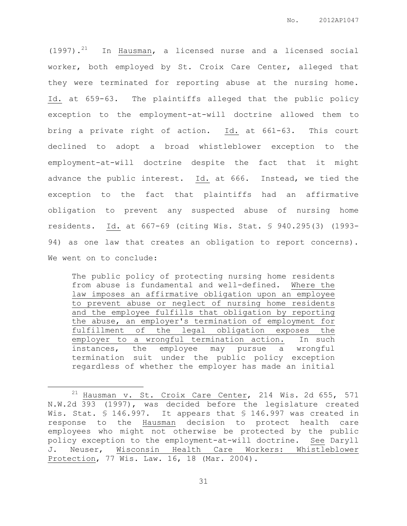(1997). $^{21}$  In Hausman, a licensed nurse and a licensed social worker, both employed by St. Croix Care Center, alleged that they were terminated for reporting abuse at the nursing home. Id. at 659-63. The plaintiffs alleged that the public policy exception to the employment-at-will doctrine allowed them to bring a private right of action. Id. at 661-63. This court declined to adopt a broad whistleblower exception to the employment-at-will doctrine despite the fact that it might advance the public interest. Id. at 666. Instead, we tied the exception to the fact that plaintiffs had an affirmative obligation to prevent any suspected abuse of nursing home residents. Id. at 667-69 (citing Wis. Stat. § 940.295(3) (1993-94) as one law that creates an obligation to report concerns). We went on to conclude:

The public policy of protecting nursing home residents from abuse is fundamental and well-defined. Where the law imposes an affirmative obligation upon an employee to prevent abuse or neglect of nursing home residents and the employee fulfills that obligation by reporting the abuse, an employer's termination of employment for fulfillment of the legal obligation exposes the employer to a wrongful termination action. In such instances, the employee may pursue a wrongful termination suit under the public policy exception regardless of whether the employer has made an initial

 $21$  Hausman v. St. Croix Care Center, 214 Wis. 2d 655, 571 N.W.2d 393 (1997), was decided before the legislature created Wis. Stat. § 146.997. It appears that § 146.997 was created in response to the Hausman decision to protect health care employees who might not otherwise be protected by the public policy exception to the employment-at-will doctrine. See Daryll J. Neuser, Wisconsin Health Care Workers: Whistleblower Protection, 77 Wis. Law. 16, 18 (Mar. 2004).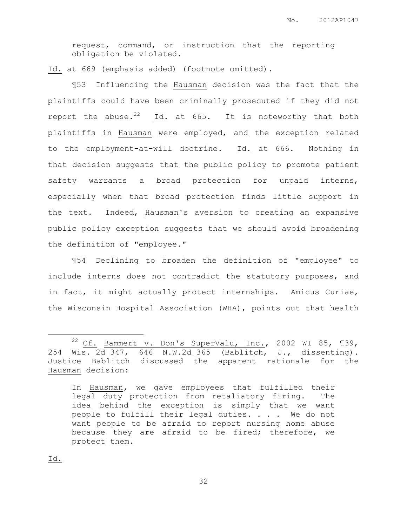request, command, or instruction that the reporting obligation be violated.

Id. at 669 (emphasis added) (footnote omitted).

¶53 Influencing the Hausman decision was the fact that the plaintiffs could have been criminally prosecuted if they did not report the abuse.<sup>22</sup> Id. at 665. It is noteworthy that both plaintiffs in Hausman were employed, and the exception related to the employment-at-will doctrine. Id. at 666. Nothing in that decision suggests that the public policy to promote patient safety warrants a broad protection for unpaid interns, especially when that broad protection finds little support in the text. Indeed, Hausman's aversion to creating an expansive public policy exception suggests that we should avoid broadening the definition of "employee."

154 Declining to broaden the definition of "employee" to include interns does not contradict the statutory purposes, and in fact, it might actually protect internships. Amicus Curiae, the Wisconsin Hospital Association (WHA), points out that health

<sup>&</sup>lt;sup>22</sup> Cf. Bammert v. Don's SuperValu, Inc., 2002 WI 85, 139, Wis. 2d 347, 646 N.W.2d 365 (Bablitch, J., dissenting). 254 Justice Bablitch discussed the apparent rationale for the Hausman decision:

In Hausman, we gave employees that fulfilled their legal duty protection from retaliatory firing. The idea behind the exception is simply that we want people to fulfill their legal duties. . . . We do not want people to be afraid to report nursing home abuse because they are afraid to be fired; therefore, we protect them.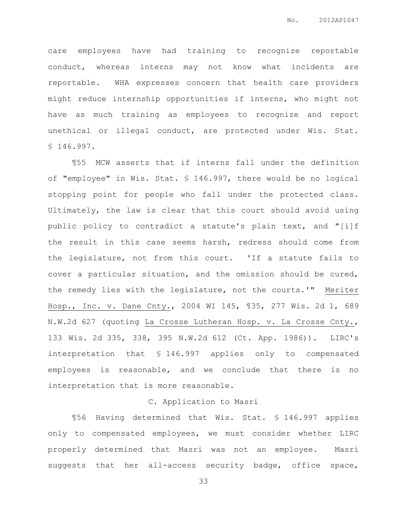care employees have had training to recognize reportable conduct, whereas interns may not know what incidents are reportable. WHA expresses concern that health care providers might reduce internship opportunities if interns, who might not have as much training as employees to recognize and report unethical or illegal conduct, are protected under Wis. Stat.  $$146.997.$ 

¶55 MCW asserts that if interns fall under the definition of "employee" in Wis. Stat. § 146.997, there would be no logical stopping point for people who fall under the protected class. Ultimately, the law is clear that this court should avoid using public policy to contradict a statute's plain text, and "[i]f the result in this case seems harsh, redress should come from the legislature, not from this court. 'If a statute fails to cover a particular situation, and the omission should be cured, the remedy lies with the legislature, not the courts.'" Meriter Hosp., Inc. v. Dane Cnty., 2004 WI 145, 135, 277 Wis. 2d 1, 689 N.W.2d 627 (quoting La Crosse Lutheran Hosp. v. La Crosse Cnty., 133 Wis. 2d 335, 338, 395 N.W.2d 612 (Ct. App. 1986)). LIRC's interpretation that § 146.997 applies only to compensated employees is reasonable, and we conclude that there is no interpretation that is more reasonable.

## C. Application to Masri

156 Having determined that Wis. Stat. § 146.997 applies only to compensated employees, we must consider whether LIRC properly determined that Masri was not an employee. Masri suggests that her all-access security badge, office space,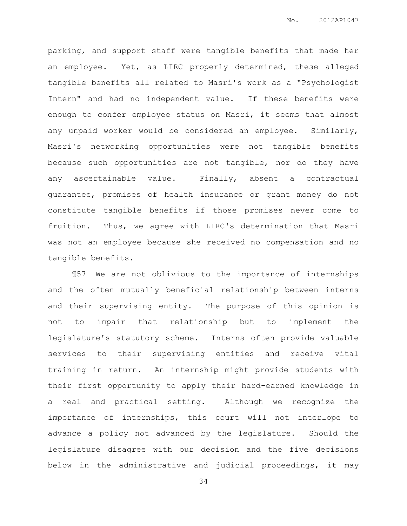parking, and support staff were tangible benefits that made her an employee. Yet, as LIRC properly determined, these alleged tangible benefits all related to Masri's work as a "Psychologist Intern" and had no independent value. If these benefits were enough to confer employee status on Masri, it seems that almost any unpaid worker would be considered an employee. Similarly, Masri's networking opportunities were not tangible benefits because such opportunities are not tangible, nor do they have any ascertainable value. Finally, absent a contractual guarantee, promises of health insurance or grant money do not constitute tangible benefits if those promises never come to fruition. Thus, we agree with LIRC's determination that Masri was not an employee because she received no compensation and no tangible benefits.

 $\text{I}57$  We are not oblivious to the importance of internships and the often mutually beneficial relationship between interns and their supervising entity. The purpose of this opinion is not to impair that relationship but to implement the legislature's statutory scheme. Interns often provide valuable services to their supervising entities and receive vital training in return. An internship might provide students with their first opportunity to apply their hard-earned knowledge in a real and practical setting. Although we recognize the importance of internships, this court will not interlope to advance a policy not advanced by the legislature. Should the legislature disagree with our decision and the five decisions below in the administrative and judicial proceedings, it may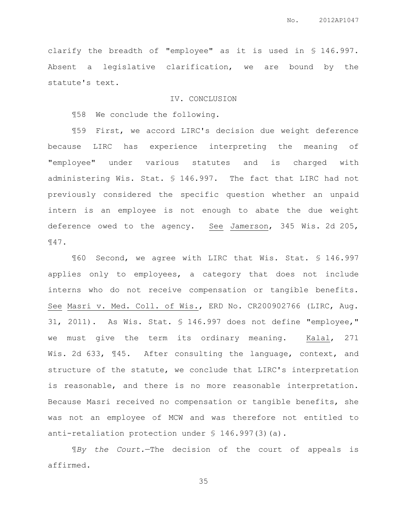clarify the breadth of "employee" as it is used in § 146.997. Absent a legislative clarification, we are bound by the statute's text.

## IV. CONCLUSION

**158** We conclude the following.

¶59 First,! we! accord! LIRC's! decision! due! weight! deference! because LIRC has experience interpreting the meaning of "employee" under various statutes and is charged with administering Wis. Stat. § 146.997. The fact that LIRC had not previously considered the specific question whether an unpaid intern is an employee is not enough to abate the due weight deference owed to the agency. See Jamerson, 345 Wis. 2d 205, ¶47.

¶60 Second,! we! agree! with! LIRC! that! Wis.! Stat.! § 146.997! applies only to employees, a category that does not include interns who do not receive compensation or tangible benefits. See Masri v. Med. Coll. of Wis., ERD No. CR200902766 (LIRC, Aug. 31, 2011). As Wis. Stat. § 146.997 does not define "employee," we must give the term its ordinary meaning. Kalal, 271 Wis. 2d 633, 145. After consulting the language, context, and structure of the statute, we conclude that LIRC's interpretation is reasonable, and there is no more reasonable interpretation. Because Masri received no compensation or tangible benefits, she was not an employee of MCW and was therefore not entitled to anti-retaliation protection under  $\S$  146.997(3)(a).

¶*By( the( Court.*²The! decision! of! the! court! of! appeals! is! affirmed.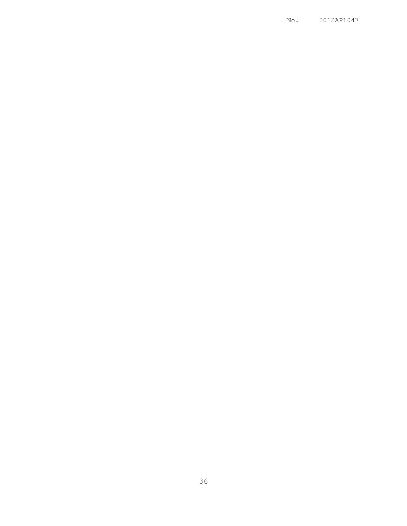# No. 2012AP1047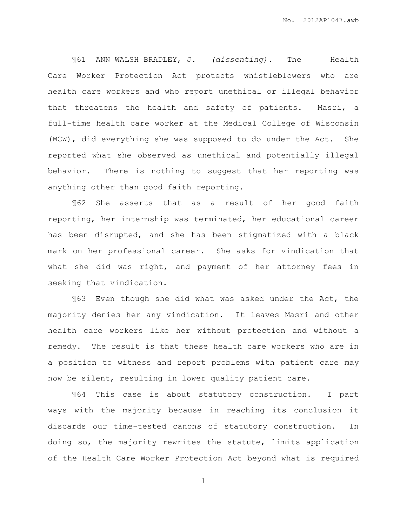¶61 ANN!WALSH!BRADLEY,!J.!!!*(dissenting).*!! The! Health! Care Worker Protection Act protects whistleblowers who are health care workers and who report unethical or illegal behavior that threatens the health and safety of patients. Masri, a full-time health care worker at the Medical College of Wisconsin (MCW), did everything she was supposed to do under the Act. She reported what she observed as unethical and potentially illegal behavior. There is nothing to suggest that her reporting was anything other than good faith reporting.

¶62 She! asserts! that! as! a! result! of! her! good! faith! reporting, her internship was terminated, her educational career has been disrupted, and she has been stigmatized with a black mark on her professional career. She asks for vindication that what she did was right, and payment of her attorney fees in seeking that vindication.

¶63 Even!though!she!did!what!was!asked!under!the!Act,!the! majority denies her any vindication. It leaves Masri and other health care workers like her without protection and without a remedy. The result is that these health care workers who are in a position to witness and report problems with patient care may now be silent, resulting in lower quality patient care.

¶64 This! case! is! about! statutory! construction.! ! I! part! ways with the majority because in reaching its conclusion it discards our time-tested canons of statutory construction. In doing so, the majority rewrites the statute, limits application of the Health Care Worker Protection Act beyond what is required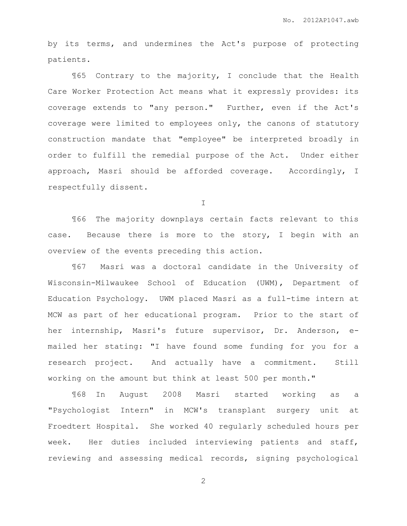by its terms, and undermines the Act's purpose of protecting patients.!!

¶65 Contrary! to! the! majority,! I! conclude! that! the! Health! Care Worker Protection Act means what it expressly provides: its coverage extends to "any person." Further, even if the Act's coverage were limited to employees only, the canons of statutory construction mandate that "employee" be interpreted broadly in order to fulfill the remedial purpose of the Act. Under either approach, Masri should be afforded coverage. Accordingly, I respectfully dissent.

I

¶66 The! majority! downplays! certain! facts! relevant! to! this! case. Because there is more to the story, I begin with an overview of the events preceding this action.

¶67 Masri! was! a! doctoral! candidate! in! the! University! of! Wisconsin-Milwaukee School of Education (UWM), Department of Education Psychology. UWM placed Masri as a full-time intern at MCW as part of her educational program. Prior to the start of her internship, Masri's future supervisor, Dr. Anderson, emailed her stating: "I have found some funding for you for a research project. And actually have a commitment. Still working on the amount but think at least 500 per month."

¶68 In! August! 2008 Masri! started! working! as a! "Psychologist Intern" in MCW's transplant surgery unit at Froedtert Hospital. She worked 40 regularly scheduled hours per week. Her duties included interviewing patients and staff, reviewing and assessing medical records, signing psychological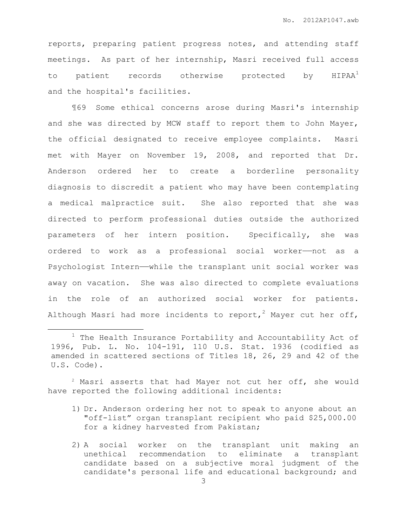reports, preparing patient progress notes, and attending staff meetings. As part of her internship, Masri received full access to patient records otherwise protected by HIPAA<sup>1</sup> and the hospital's facilities.

¶69 Some! ethical! concerns! arose! during! Masri's! internship! and she was directed by MCW staff to report them to John Mayer, the official designated to receive employee complaints. Masri met with Mayer on November 19, 2008, and reported that Dr. Anderson ordered her to create a borderline personality diagnosis to discredit a patient who may have been contemplating a medical malpractice suit. She also reported that she was directed to perform professional duties outside the authorized parameters of her intern position. Specifically, she was ordered to work as a professional social worker-not as a Psychologist Intern-while the transplant unit social worker was away on vacation. She was also directed to complete evaluations in the role of an authorized social worker for patients. Although Masri had more incidents to report,<sup>2</sup> Mayer cut her off,

 $\overline{a}$ 

 $2$  Masri asserts that had Mayer not cut her off, she would have reported the following additional incidents:

- 1) Dr. Anderson ordering her not to speak to anyone about an "off-list" organ transplant recipient who paid \$25,000.00 for a kidney harvested from Pakistan;
- 2) A social worker on the transplant unit making an unethical recommendation to eliminate a transplant candidate based on a subjective moral judgment of the candidate's personal life and educational background; and

 $1$  The Health Insurance Portability and Accountability Act of 1996, Pub. L. No. 104-191, 110 U.S. Stat. 1936 (codified as amended in scattered sections of Titles 18, 26, 29 and 42 of the U.S. Code).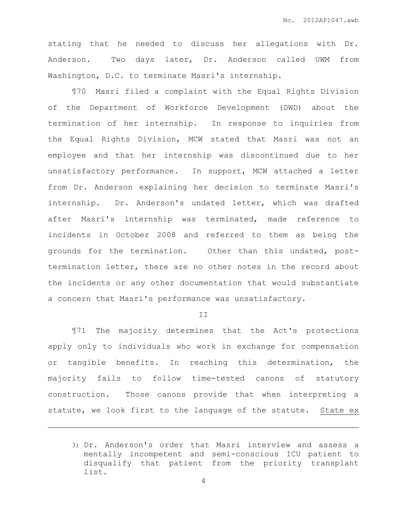stating that he needed to discuss her allegations with Dr. Anderson.! ! Two! days! later,! Dr.! Anderson! called! UWM! from! Washington, D.C. to terminate Masri's internship.

¶70 Masri!filed!a!complaint!with!the!Equal!Rights!Division! of the Department of Workforce Development (DWD) about the termination of her internship. In response to inquiries from the Equal Rights Division, MCW stated that Masri was not an employee and that her internship was discontinued due to her unsatisfactory performance. In support, MCW attached a letter from Dr. Anderson explaining her decision to terminate Masri's internship. Dr. Anderson's undated letter, which was drafted after Masri's internship was terminated, made reference to incidents in October 2008 and referred to them as being the grounds! for! the! termination.! ! ! Other! than! this! undated,! post> termination letter, there are no other notes in the record about the incidents or any other documentation that would substantiate a concern that Masri's performance was unsatisfactory.

T<sub>T</sub>

¶71 The! majority! determines! that! the! Act's! protections! apply only to individuals who work in exchange for compensation or tangible benefits. In reaching this determination, the majority fails to follow time-tested canons of statutory construction. Those canons provide that when interpreting a statute, we look first to the language of the statute. State ex

4

<sup>3)</sup> Dr. Anderson's order that Masri interview and assess a mentally incompetent and semi-conscious ICU patient to disqualify that patient from the priority transplant list.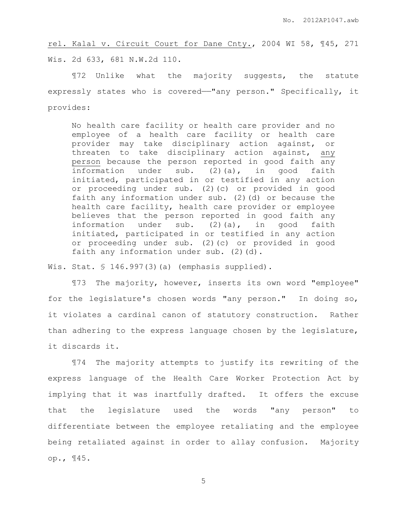rel. Kalal v. Circuit Court for Dane Cnty., 2004 WI 58, 145, 271 Wis. 2d 633, 681 N.W.2d 110.

172 Unlike what the majority suggests, the statute expressly states who is covered-"any person." Specifically, it provides:

No health care facility or health care provider and no employee of a health care facility or health care provider may take disciplinary action against, or threaten to take disciplinary action against, any person because the person reported in good faith any information under sub.  $(2)$  (a), in good faith initiated, participated in or testified in any action or proceeding under sub. (2)(c) or provided in good faith any information under sub. (2) (d) or because the health care facility, health care provider or employee believes that the person reported in good faith any information under sub.  $(2)$  (a), in qood faith initiated, participated in or testified in any action or proceeding under sub. (2)(c) or provided in good faith any information under sub. (2)(d).

Wis. Stat. § 146.997(3)(a) (emphasis supplied).

T73 The majority, however, inserts its own word "employee" for the legislature's chosen words "any person." In doing so, it violates a cardinal canon of statutory construction. Rather than adhering to the express language chosen by the legislature, it discards it.

¶74 The majority attempts to justify its rewriting of the express language of the Health Care Worker Protection Act by implying that it was inartfully drafted. It offers the excuse that the legislature used the words "any person" to differentiate between the employee retaliating and the employee being retaliated against in order to allay confusion. Majority op., 145.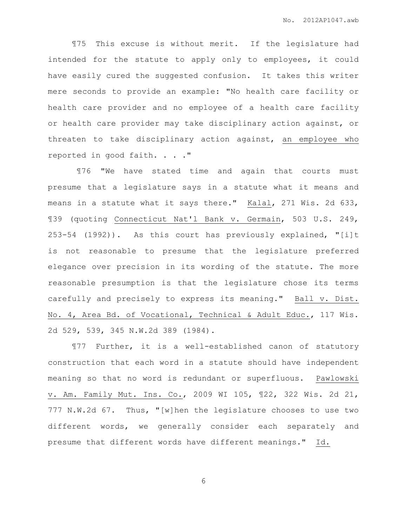175 This excuse is without merit. If the legislature had intended for the statute to apply only to employees, it could have easily cured the suggested confusion. It takes this writer mere seconds to provide an example: "No health care facility or health care provider and no employee of a health care facility or health care provider may take disciplinary action against, or threaten to take disciplinary action against, an employee who reported in good faith. . . . "

T76 "We have stated time and again that courts must presume that a legislature says in a statute what it means and means in a statute what it says there." Kalal, 271 Wis. 2d 633, ¶39 (quoting Connecticut Nat'l Bank v. Germain, 503 U.S. 249, 253-54 (1992)). As this court has previously explained, "[i]t is not reasonable to presume that the legislature preferred elegance over precision in its wording of the statute. The more reasonable presumption is that the legislature chose its terms carefully and precisely to express its meaning." Ball v. Dist. No. 4, Area Bd. of Vocational, Technical & Adult Educ., 117 Wis. 2d 529, 539, 345 N.W.2d 389 (1984).

¶77 Further, it is a well-established canon of statutory construction that each word in a statute should have independent meaning so that no word is redundant or superfluous. Pawlowski v. Am. Family Mut. Ins. Co., 2009 WI 105, 122, 322 Wis. 2d 21, 777 N.W.2d 67. Thus, "[w]hen the legislature chooses to use two different words, we generally consider each separately and presume that different words have different meanings." Id.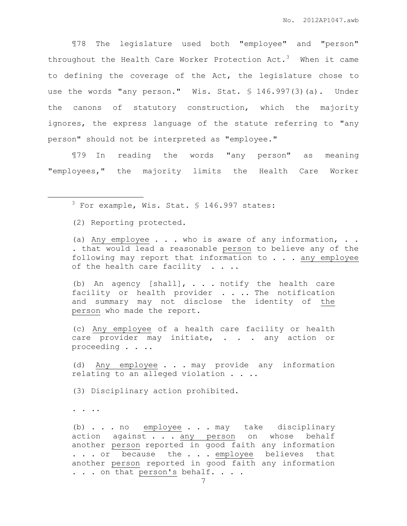T78 The legislature used both "employee" and "person" throughout the Health Care Worker Protection Act.<sup>3</sup> When it came to defining the coverage of the Act, the legislature chose to use the words "any person." Wis. Stat. § 146.997(3)(a). Under the canons of statutory construction, which the majority ignores, the express language of the statute referring to "any person" should not be interpreted as "employee."

¶79 In reading the words "any person" as meaning "employees," the majority limits the Health Care Worker

(2) Reporting protected.

(a) Any employee . . . who is aware of any information, . . . that would lead a reasonable person to believe any of the following may report that information to . . . any employee of the health care facility  $\cdot \cdot \cdot \cdot$ 

(b) An agency [shall], . . . notify the health care facility or health provider . . .. The notification and summary may not disclose the identity of the person who made the report.

(c) Any employee of a health care facility or health care provider may initiate, . . . any action or proceeding . . ..

Any employee . . . may provide any information  $(d)$ relating to an alleged violation . . ..

(3) Disciplinary action prohibited.

 $\ddot{\phantom{a}}$  . . . .

(b) . . . no employee . . . may take disciplinary action against . . . any person on whose behalf another person reported in good faith any information ... or because the ... emplovee believes that another person reported in good faith any information ... on that person's behalf....

 $3$  For example, Wis. Stat. § 146.997 states: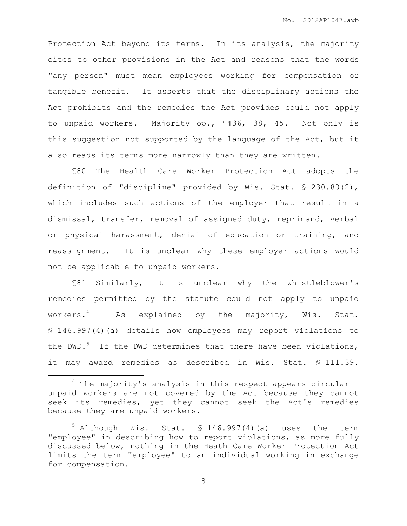Protection Act beyond its terms. In its analysis, the majority cites to other provisions in the Act and reasons that the words "any person" must mean employees working for compensation or tangible benefit. It asserts that the disciplinary actions the Act prohibits and the remedies the Act provides could not apply to unpaid workers. Majority op., 1136, 38, 45. Not only is this suggestion not supported by the language of the Act, but it also reads its terms more narrowly than they are written.

180 The Health Care Worker Protection Act adopts the definition of "discipline" provided by Wis. Stat. § 230.80(2), which includes such actions of the employer that result in a dismissal, transfer, removal of assigned duty, reprimand, verbal or physical harassment, denial of education or training, and reassignment. It is unclear why these employer actions would not be applicable to unpaid workers.

181 Similarly, it is unclear why the whistleblower's remedies permitted by the statute could not apply to unpaid workers.<sup>4</sup> As explained by the majority, Wis. Stat. § 146.997(4)(a) details how employees may report violations to the DWD.<sup>5</sup> If the DWD determines that there have been violations, it may award remedies as described in Wis. Stat. § 111.39.

<sup>&</sup>lt;sup>4</sup> The majority's analysis in this respect appears circularunpaid workers are not covered by the Act because they cannot seek its remedies, yet they cannot seek the Act's remedies because they are unpaid workers.

 $5$  Although Wis. Stat. § 146.997(4)(a) uses the term "employee" in describing how to report violations, as more fully discussed below, nothing in the Heath Care Worker Protection Act limits the term "employee" to an individual working in exchange for compensation.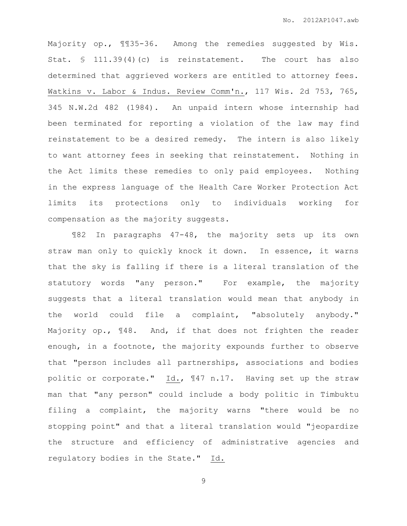Majority op., 1135-36. Among the remedies suggested by Wis. Stat.  $\frac{11.39(4)}{c}$  is reinstatement. The court has also determined that aggrieved workers are entitled to attorney fees. Watkins v. Labor & Indus. Review Comm'n., 117 Wis. 2d 753, 765, 345 N.W.2d 482 (1984). An unpaid intern whose internship had been terminated for reporting a violation of the law may find reinstatement to be a desired remedy. The intern is also likely to want attorney fees in seeking that reinstatement. Nothing in the Act limits these remedies to only paid employees. Nothing in the express language of the Health Care Worker Protection Act limits its protections only to individuals working for compensation as the majority suggests.

182 In paragraphs 47-48, the majority sets up its own straw man only to quickly knock it down. In essence, it warns that the sky is falling if there is a literal translation of the statutory words "any person." For example, the majority suggests that a literal translation would mean that anybody in the world could file a complaint, "absolutely anybody." Majority op., 148. And, if that does not frighten the reader enough, in a footnote, the majority expounds further to observe that "person includes all partnerships, associations and bodies politic or corporate." Id., 147 n.17. Having set up the straw man that "any person" could include a body politic in Timbuktu filing a complaint, the majority warns "there would be no stopping point" and that a literal translation would "jeopardize the structure and efficiency of administrative agencies and regulatory bodies in the State." Id.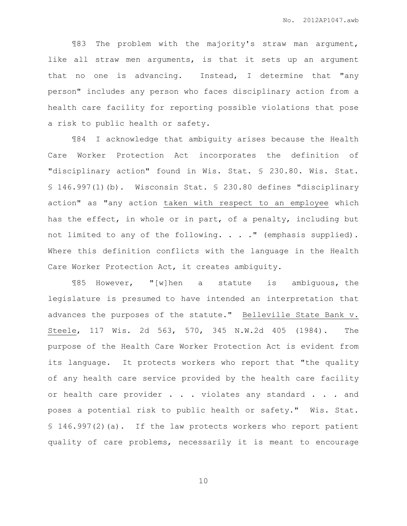183 The problem with the majority's straw man argument, like all straw men arguments, is that it sets up an argument that no one is advancing. Instead, I determine that "any person" includes any person who faces disciplinary action from a health care facility for reporting possible violations that pose a risk to public health or safety.

184 I acknowledge that ambiquity arises because the Health Care Worker Protection Act incorporates the definition of "disciplinary action" found in Wis. Stat. § 230.80. Wis. Stat. § 146.997(1)(b). Wisconsin Stat. § 230.80 defines "disciplinary action" as "any action taken with respect to an employee which has the effect, in whole or in part, of a penalty, including but not limited to any of the following. . . . " (emphasis supplied). Where this definition conflicts with the language in the Health Care Worker Protection Act, it creates ambiguity.

185 However, "[w]hen a statute is ambiquous, the legislature is presumed to have intended an interpretation that advances the purposes of the statute." Belleville State Bank v. Steele, 117 Wis. 2d 563, 570, 345 N.W.2d 405 (1984). The purpose of the Health Care Worker Protection Act is evident from its language. It protects workers who report that "the quality of any health care service provided by the health care facility or health care provider . . . violates any standard . . . and poses a potential risk to public health or safety." Wis. Stat. § 146.997(2)(a). If the law protects workers who report patient quality of care problems, necessarily it is meant to encourage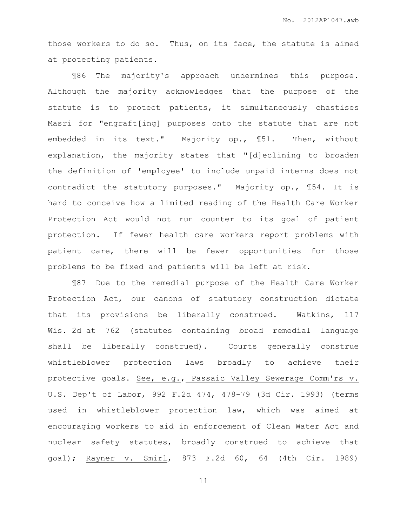those workers to do so. Thus, on its face, the statute is aimed at protecting patients.

The majority's approach undermines this purpose. Although the majority acknowledges that the purpose of the statute is to protect patients, it simultaneously chastises Masri for "engraft[ing] purposes onto the statute that are not embedded in its text." Majority op., 151. Then, without explanation, the majority states that "[d]eclining to broaden the definition of 'employee' to include unpaid interns does not contradict the statutory purposes." Majority op., 154. It is hard to conceive how a limited reading of the Health Care Worker Protection Act would not run counter to its goal of patient protection. If fewer health care workers report problems with patient care, there will be fewer opportunities for those problems to be fixed and patients will be left at risk.

187 Due to the remedial purpose of the Health Care Worker Protection Act, our canons of statutory construction dictate that its provisions be liberally construed. Watkins, 117 Wis. 2d at 762 (statutes containing broad remedial language shall be liberally construed). Courts generally construe whistleblower protection laws broadly to achieve their protective goals. See, e.g., Passaic Valley Sewerage Comm'rs v. U.S. Dep't of Labor, 992 F.2d 474, 478-79 (3d Cir. 1993) (terms used in whistleblower protection law, which was aimed at encouraging workers to aid in enforcement of Clean Water Act and nuclear safety statutes, broadly construed to achieve that goal); Rayner v. Smirl, 873 F.2d 60, 64 (4th Cir. 1989)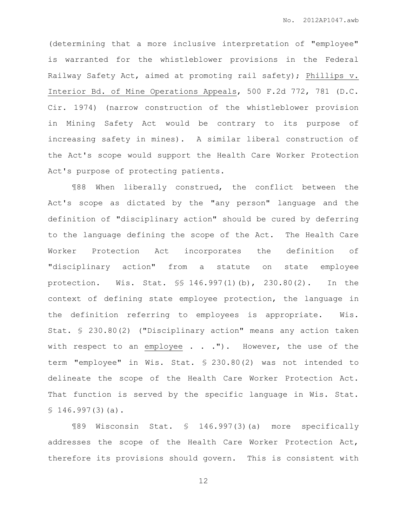(determining that a more inclusive interpretation of "employee" is warranted for the whistleblower provisions in the Federal Railway Safety Act, aimed at promoting rail safety); Phillips v. Interior Bd. of Mine Operations Appeals, 500 F.2d 772, 781 (D.C. Cir. 1974) (narrow construction of the whistleblower provision in Mining Safety Act would be contrary to its purpose of increasing safety in mines). A similar liberal construction of the Act's scope would support the Health Care Worker Protection Act's purpose of protecting patients.

188 When liberally construed, the conflict between the Act's scope as dictated by the "any person" language and the definition of "disciplinary action" should be cured by deferring to the language defining the scope of the Act. The Health Care Protection Act incorporates the definition Worker of "disciplinary action" from a statute on state employee protection. Wis. Stat. \$\$ 146.997(1)(b), 230.80(2). In the context of defining state employee protection, the language in the definition referring to employees is appropriate. Wis. Stat. § 230.80(2) ("Disciplinary action" means any action taken with respect to an employee . . . "). However, the use of the term "employee" in Wis. Stat. § 230.80(2) was not intended to delineate the scope of the Health Care Worker Protection Act. That function is served by the specific language in Wis. Stat.  $$146.997(3)(a).$ 

specifically 189 Wisconsin Stat. § 146.997(3)(a) more addresses the scope of the Health Care Worker Protection Act, therefore its provisions should govern. This is consistent with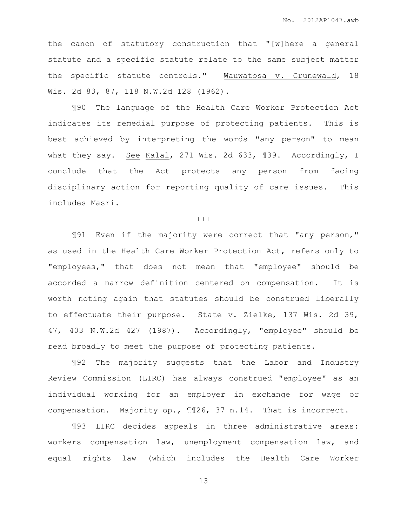the canon of statutory construction that "[w]here a general statute and a specific statute relate to the same subject matter the specific statute controls." Wauwatosa v. Grunewald, 18 Wis. 2d 83, 87, 118 N.W.2d 128 (1962).

190 The language of the Health Care Worker Protection Act indicates its remedial purpose of protecting patients. This is best achieved by interpreting the words "any person" to mean what they say. See Kalal, 271 Wis. 2d 633, 139. Accordingly, I conclude that the Act protects any person from facing disciplinary action for reporting quality of care issues. This includes Masri.

#### III

191 Even if the majority were correct that "any person," as used in the Health Care Worker Protection Act, refers only to "employees," that does not mean that "employee" should be accorded a narrow definition centered on compensation. It is worth noting again that statutes should be construed liberally to effectuate their purpose. State v. Zielke, 137 Wis. 2d 39, 47, 403 N.W.2d 427 (1987). Accordingly, "employee" should be read broadly to meet the purpose of protecting patients.

192 The majority suggests that the Labor and Industry Review Commission (LIRC) has always construed "employee" as an individual working for an employer in exchange for wage or compensation. Majority op., 1126, 37 n.14. That is incorrect.

193 LIRC decides appeals in three administrative areas: workers compensation law, unemployment compensation law, and equal rights law (which includes the Health Care Worker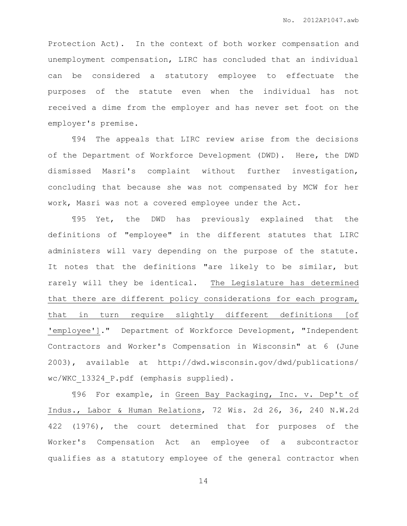Protection Act). In the context of both worker compensation and unemployment compensation, LIRC has concluded that an individual can be considered a statutory employee to effectuate the purposes of the statute even when the individual has not received a dime from the employer and has never set foot on the employer's premise.

¶94 The! appeals! that! LIRC! review! arise! from! the! decisions! of the Department of Workforce Development (DWD). Here, the DWD dismissed Masri's complaint without further investigation, concluding that because she was not compensated by MCW for her work, Masri was not a covered employee under the Act.

¶95 Yet,! the! DWD! has! previously! explained! that! the! definitions of "employee" in the different statutes that LIRC administers will vary depending on the purpose of the statute. It notes that the definitions "are likely to be similar, but rarely will they be identical. The Legislature has determined that there are different policy considerations for each program, that in turn require slightly different definitions [of 'employee']." Department of Workforce Development, "Independent Contractors and Worker's Compensation in Wisconsin" at 6 (June 2003), available at http://dwd.wisconsin.gov/dwd/publications/ wc/WKC 13324 P.pdf (emphasis supplied).

196 For example, in Green Bay Packaging, Inc. v. Dep't of Indus., Labor & Human Relations, 72 Wis. 2d 26, 36, 240 N.W.2d 422 (1976), the court determined that for purposes of the Worker's Compensation Act an employee of a subcontractor qualifies as a statutory employee of the general contractor when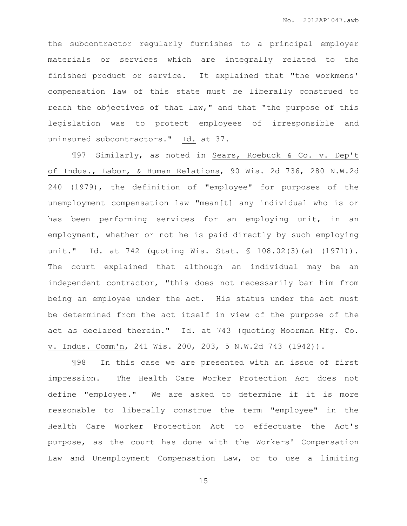the subcontractor regularly furnishes to a principal employer materials or services which are integrally related to the finished product or service. It explained that "the workmens' compensation law of this state must be liberally construed to reach the objectives of that law," and that "the purpose of this legislation was to protect employees of irresponsible and uninsured subcontractors." Id. at 37.

197 Similarly, as noted in Sears, Roebuck & Co. v. Dep't of Indus., Labor, & Human Relations, 90 Wis. 2d 736, 280 N.W.2d 240 (1979), the definition of "employee" for purposes of the unemployment compensation law "mean[t] any individual who is or has been performing services for an employing unit, in an employment, whether or not he is paid directly by such employing unit." Id. at 742 (quoting Wis. Stat. § 108.02(3)(a) (1971)). The court explained that although an individual may be an independent contractor, "this does not necessarily bar him from being an employee under the act. His status under the act must be determined from the act itself in view of the purpose of the act as declared therein." Id. at 743 (quoting Moorman Mfg. Co. v. Indus. Comm'n, 241 Wis. 200, 203, 5 N.W.2d 743 (1942)).

198 In this case we are presented with an issue of first impression. The Health Care Worker Protection Act does not define "employee." We are asked to determine if it is more reasonable to liberally construe the term "employee" in the Health Care Worker Protection Act to effectuate the Act's purpose, as the court has done with the Workers' Compensation Law and Unemployment Compensation Law, or to use a limiting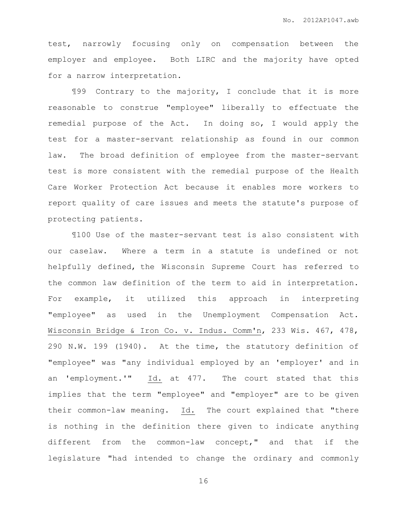test, narrowly focusing only on compensation between the employer and employee. Both LIRC and the majority have opted for a narrow interpretation.

199 Contrary to the majority, I conclude that it is more reasonable to construe "employee" liberally to effectuate the remedial purpose of the Act. In doing so, I would apply the test for a master-servant relationship as found in our common law. The broad definition of employee from the master-servant test is more consistent with the remedial purpose of the Health Care Worker Protection Act because it enables more workers to report quality of care issues and meets the statute's purpose of protecting patients.

¶100 Use of the master-servant test is also consistent with our caselaw. Where a term in a statute is undefined or not helpfully defined, the Wisconsin Supreme Court has referred to the common law definition of the term to aid in interpretation. For example, it utilized this approach in interpreting "employee" as used in the Unemployment Compensation Act. Wisconsin Bridge & Iron Co. v. Indus. Comm'n, 233 Wis. 467, 478, 290 N.W. 199 (1940). At the time, the statutory definition of "employee" was "any individual employed by an 'employer' and in an 'employment.'" Id. at 477. The court stated that this implies that the term "employee" and "employer" are to be given their common-law meaning. Id. The court explained that "there is nothing in the definition there given to indicate anything different from the common-law concept," and that if the legislature "had intended to change the ordinary and commonly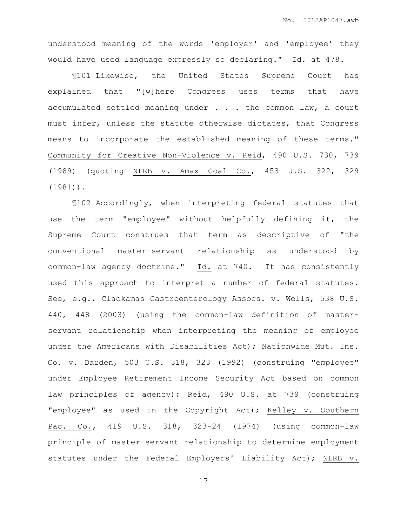understood meaning of the words 'employer' and 'employee' they would have used language expressly so declaring." Id. at 478.

¶101 Likewise, the United States Supreme Court has explained that "[w]here Congress uses terms that have accumulated settled meaning under . . . the common law, a court must infer, unless the statute otherwise dictates, that Congress means to incorporate the established meaning of these terms." Community for Creative Non-Violence v. Reid, 490 U.S. 730, 739 (1989) (quoting NLRB v. Amax Coal Co., 453 U.S. 322, 329  $(1981)$ .

¶102 Accordingly, when interpreting federal statutes that use the term "employee" without helpfully defining it, the Supreme Court construes that term as descriptive of "the conventional master-servant relationship as understood  $by$ common-law agency doctrine." Id. at 740. It has consistently used this approach to interpret a number of federal statutes. See, e.g., Clackamas Gastroenterology Assocs. v. Wells, 538 U.S. 440, 448 (2003) (using the common-law definition of masterservant relationship when interpreting the meaning of employee under the Americans with Disabilities Act); Nationwide Mut. Ins. Co. v. Darden, 503 U.S. 318, 323 (1992) (construing "employee" under Employee Retirement Income Security Act based on common law principles of agency); Reid, 490 U.S. at 739 (construing "employee" as used in the Copyright Act); Kelley v. Southern Pac. Co., 419 U.S. 318, 323-24 (1974) (using common-law principle of master-servant relationship to determine employment statutes under the Federal Employers' Liability Act); NLRB v.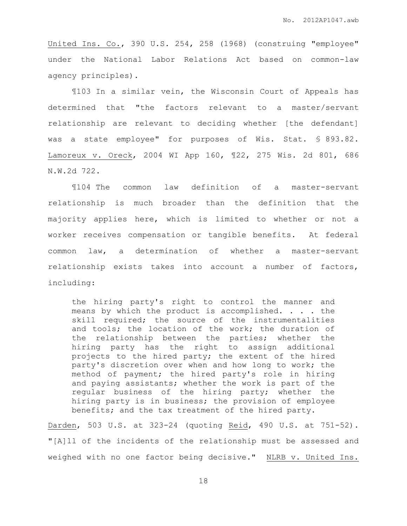United Ins. Co., 390 U.S. 254, 258 (1968) (construing "employee" under the National Labor Relations Act based on common-law agency principles).

¶103 In a similar vein, the Wisconsin Court of Appeals has determined that "the factors relevant to a master/servant relationship are relevant to deciding whether [the defendant] was a state employee" for purposes of Wis. Stat. § 893.82. Lamoreux v. Oreck, 2004 WI App 160, 122, 275 Wis. 2d 801, 686 N.W.2d 722.

¶104 The common law definition of a master-servant relationship is much broader than the definition that the majority applies here, which is limited to whether or not a worker receives compensation or tangible benefits. At federal law, a determination of whether a master-servant common relationship exists takes into account a number of factors, including:

the hiring party's right to control the manner and means by which the product is accomplished. . . . the skill required; the source of the instrumentalities and tools; the location of the work; the duration of the relationship between the parties; whether the hiring party has the right to assign additional projects to the hired party; the extent of the hired party's discretion over when and how long to work; the method of payment; the hired party's role in hiring and paying assistants; whether the work is part of the regular business of the hiring party; whether the hiring party is in business; the provision of employee benefits; and the tax treatment of the hired party.

Darden, 503 U.S. at 323-24 (quoting Reid, 490 U.S. at 751-52). "[A]ll of the incidents of the relationship must be assessed and weighed with no one factor being decisive." NLRB v. United Ins.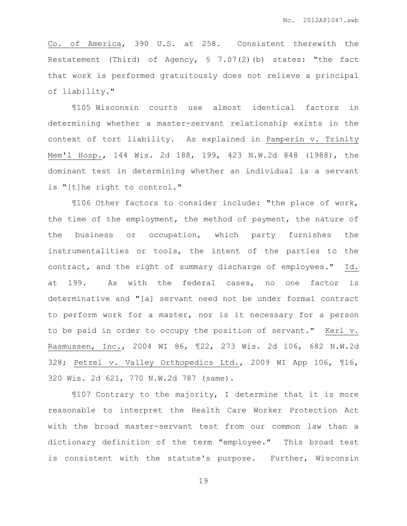Co. of America, 390 U.S. at 258. Consistent therewith the Restatement (Third) of Agency, § 7.07(2)(b) states: "the fact that work is performed gratuitously does not relieve a principal of liability."

¶105 Wisconsin courts use almost identical factors in determining whether a master-servant relationship exists in the context of tort liability. As explained in Pamperin v. Trinity Mem'l Hosp., 144 Wis. 2d 188, 199, 423 N.W.2d 848 (1988), the dominant test in determining whether an individual is a servant is "[t]he right to control."

¶106 Other factors to consider include: "the place of work, the time of the employment, the method of payment, the nature of business or occupation, which party furnishes the the instrumentalities or tools, the intent of the parties to the contract, and the right of summary discharge of employees." Id. 199. As with the federal cases, no one factor is at determinative and "[a] servant need not be under formal contract to perform work for a master, nor is it necessary for a person to be paid in order to occupy the position of servant." Kerl v. Rasmussen, Inc., 2004 WI 86, 122, 273 Wis. 2d 106, 682 N.W.2d 328; Petzel v. Valley Orthopedics Ltd., 2009 WI App 106, 116, 320 Wis. 2d 621, 770 N.W.2d 787 (same).

¶107 Contrary to the majority, I determine that it is more reasonable to interpret the Health Care Worker Protection Act with the broad master-servant test from our common law than a dictionary definition of the term "employee." This broad test is consistent with the statute's purpose. Further, Wisconsin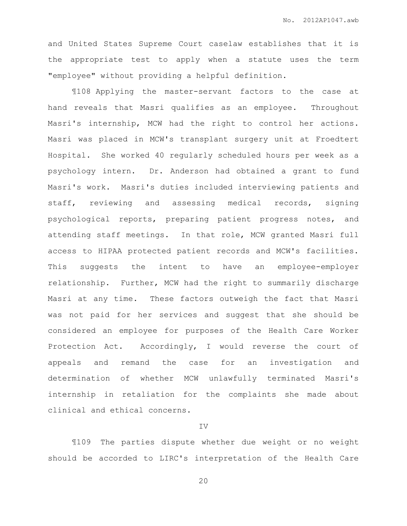and United States Supreme Court caselaw establishes that it is the appropriate test to apply when a statute uses the term "employee" without providing a helpful definition.

¶108 Applying! the! master>servant! factors to! the! case! at! hand reveals that Masri qualifies as an employee. Throughout Masri's internship, MCW had the right to control her actions. Masri was placed in MCW's transplant surgery unit at Froedtert Hospital. She worked 40 regularly scheduled hours per week as a psychology intern. Dr. Anderson had obtained a grant to fund Masri's work. Masri's duties included interviewing patients and staff, reviewing and assessing medical records, signing psychological reports, preparing patient progress notes, and attending staff meetings. In that role, MCW granted Masri full access to HIPAA protected patient records and MCW's facilities. This suggests the intent to have an employee-employer relationship. Further, MCW had the right to summarily discharge Masri at any time. These factors outweigh the fact that Masri was not paid for her services and suggest that she should be considered an employee for purposes of the Health Care Worker Protection! Act.! ! Accordingly,! I! would! reverse! the! court! of! appeals and remand the case for an investigation and determination of whether MCW unlawfully terminated Masri's internship in retaliation for the complaints she made about clinical and ethical concerns.

#### IV

¶109 The! parties! dispute! whether! due! weight! or! no weight! should be accorded to LIRC's interpretation of the Health Care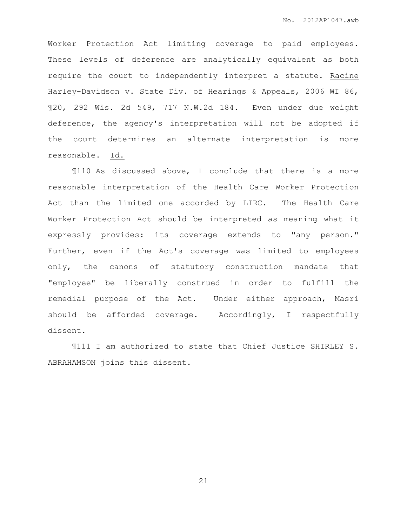Worker Protection Act limiting coverage to paid employees. These levels of deference are analytically equivalent as both require the court to independently interpret a statute. Racine Harley-Davidson v. State Div. of Hearings & Appeals, 2006 WI 86, 120, 292 Wis. 2d 549, 717 N.W.2d 184. Even under due weight deference, the agency's interpretation will not be adopted if the court determines an alternate interpretation is more reasonable. Id.

¶110 As discussed above, I conclude that there is a more reasonable interpretation of the Health Care Worker Protection Act than the limited one accorded by LIRC. The Health Care Worker Protection Act should be interpreted as meaning what it expressly provides: its coverage extends to "any person." Further, even if the Act's coverage was limited to employees only, the canons of statutory construction mandate that "employee" be liberally construed in order to fulfill the remedial purpose of the Act. Under either approach, Masri should be afforded coverage. Accordingly, I respectfully dissent.

¶111 I am authorized to state that Chief Justice SHIRLEY S. ABRAHAMSON joins this dissent.